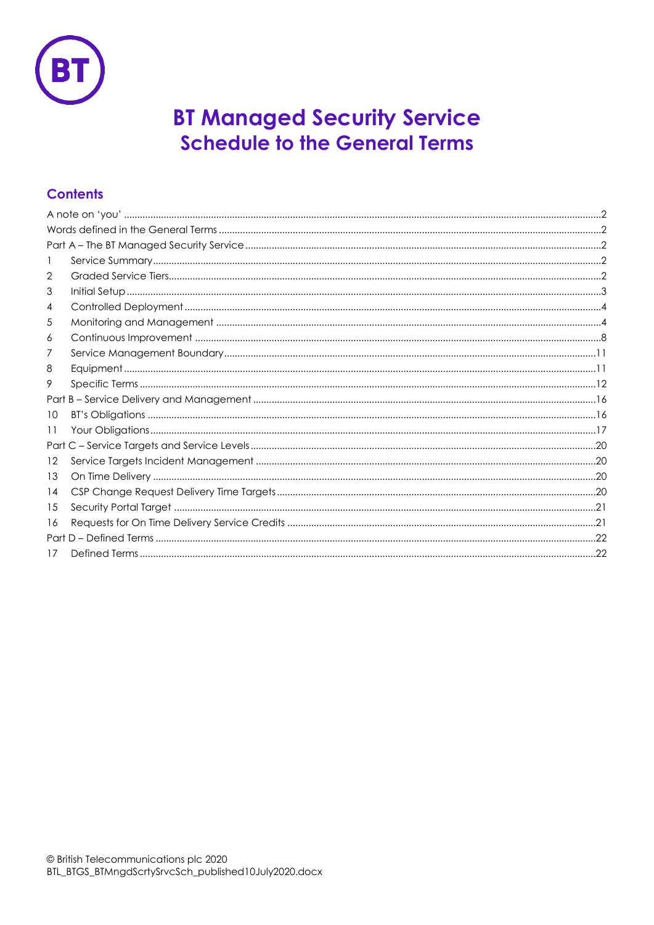

# **BT Managed Security Service Schedule to the General Terms**

## **Contents**

| 2  |  |
|----|--|
| 3  |  |
| 4  |  |
| 5  |  |
| 6  |  |
| 7  |  |
| 8  |  |
| 9  |  |
|    |  |
| 10 |  |
| 11 |  |
|    |  |
| 12 |  |
| 13 |  |
| 14 |  |
| 15 |  |
| 16 |  |
|    |  |
| 17 |  |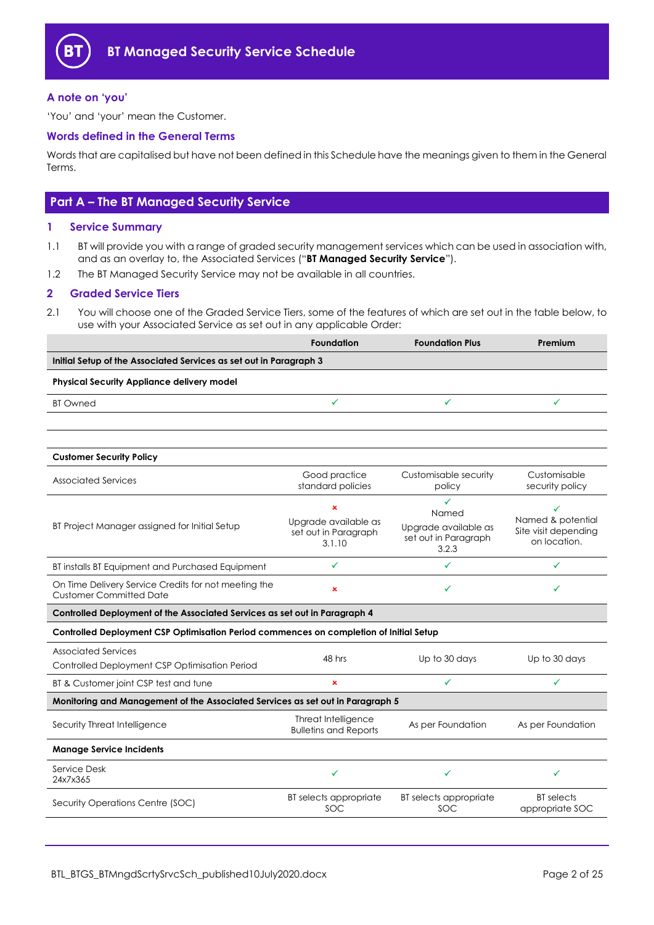

#### <span id="page-1-0"></span>**A note on 'you'**

'You' and 'your' mean the Customer.

#### <span id="page-1-1"></span>**Words defined in the General Terms**

Words that are capitalised but have not been defined in this Schedule have the meanings given to them in the General Terms.

## <span id="page-1-2"></span>**Part A – The BT Managed Security Service**

#### <span id="page-1-3"></span>**1 Service Summary**

- 1.1 BT will provide you with a range of graded security management services which can be used in association with, and as an overlay to, the Associated Services ("**BT Managed Security Service**").
- 1.2 The BT Managed Security Service may not be available in all countries.

#### <span id="page-1-4"></span>**2 Graded Service Tiers**

2.1 You will choose one of the Graded Service Tiers, some of the features of which are set out in the table below, to use with your Associated Service as set out in any applicable Order:

|                                                                                        | <b>Foundation</b>                                   | <b>Foundation Plus</b>                                | Premium                              |  |
|----------------------------------------------------------------------------------------|-----------------------------------------------------|-------------------------------------------------------|--------------------------------------|--|
| Initial Setup of the Associated Services as set out in Paragraph 3                     |                                                     |                                                       |                                      |  |
| <b>Physical Security Appliance delivery model</b>                                      |                                                     |                                                       |                                      |  |
| <b>BT</b> Owned                                                                        | ✓                                                   | ✓                                                     | ✓                                    |  |
|                                                                                        |                                                     |                                                       |                                      |  |
|                                                                                        |                                                     |                                                       |                                      |  |
| <b>Customer Security Policy</b>                                                        |                                                     |                                                       |                                      |  |
| <b>Associated Services</b>                                                             | Good practice<br>standard policies                  | Customisable security<br>policy                       | Customisable<br>security policy      |  |
|                                                                                        | $\pmb{\times}$<br>Upgrade available as              | ✓<br>Named                                            | ✓<br>Named & potential               |  |
| BT Project Manager assigned for Initial Setup                                          | set out in Paragraph<br>3.1.10                      | Upgrade available as<br>set out in Paragraph<br>3.2.3 | Site visit depending<br>on location. |  |
| BT installs BT Equipment and Purchased Equipment                                       | ✓                                                   | ✓                                                     | ✓                                    |  |
| On Time Delivery Service Credits for not meeting the<br><b>Customer Committed Date</b> | $\pmb{\times}$                                      | ✓                                                     | ✓                                    |  |
| Controlled Deployment of the Associated Services as set out in Paragraph 4             |                                                     |                                                       |                                      |  |
| Controlled Deployment CSP Optimisation Period commences on completion of Initial Setup |                                                     |                                                       |                                      |  |
| <b>Associated Services</b><br>Controlled Deployment CSP Optimisation Period            | 48 hrs                                              | Up to 30 days                                         | Up to 30 days                        |  |
| BT & Customer joint CSP test and tune                                                  | $\pmb{\times}$                                      | ✓                                                     | $\checkmark$                         |  |
| Monitoring and Management of the Associated Services as set out in Paragraph 5         |                                                     |                                                       |                                      |  |
| Security Threat Intelligence                                                           | Threat Intelligence<br><b>Bulletins and Reports</b> | As per Foundation                                     | As per Foundation                    |  |
| <b>Manage Service Incidents</b>                                                        |                                                     |                                                       |                                      |  |
| Service Desk<br>24x7x365                                                               | ✓                                                   | ✓                                                     |                                      |  |
| Security Operations Centre (SOC)                                                       | BT selects appropriate<br>SOC                       | BT selects appropriate<br>SOC                         | <b>BT</b> selects<br>appropriate SOC |  |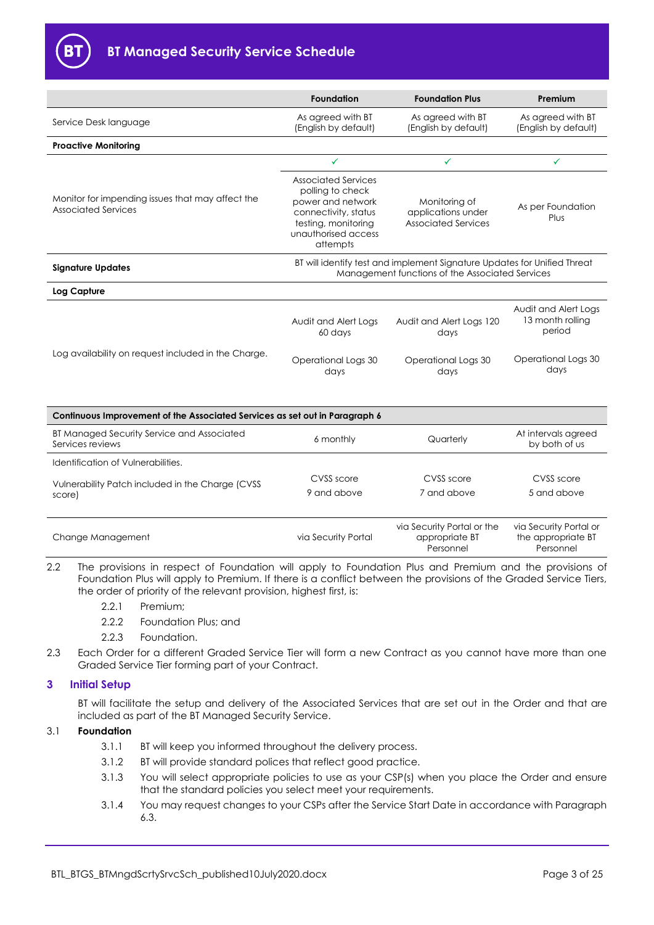

|                                                                             | <b>Foundation</b>                                                                                                                                     | <b>Foundation Plus</b>                                            | Premium                                            |
|-----------------------------------------------------------------------------|-------------------------------------------------------------------------------------------------------------------------------------------------------|-------------------------------------------------------------------|----------------------------------------------------|
| Service Desk language                                                       | As agreed with BT<br>(English by default)                                                                                                             | As agreed with BT<br>(English by default)                         | As agreed with BT<br>(English by default)          |
| <b>Proactive Monitoring</b>                                                 |                                                                                                                                                       |                                                                   |                                                    |
|                                                                             | ✓                                                                                                                                                     | ✓                                                                 | ✓                                                  |
| Monitor for impending issues that may affect the<br>Associated Services     | <b>Associated Services</b><br>polling to check<br>power and network<br>connectivity, status<br>testing, monitoring<br>unauthorised access<br>attempts | Monitoring of<br>applications under<br><b>Associated Services</b> | As per Foundation<br>Plus                          |
| <b>Signature Updates</b>                                                    | BT will identify test and implement Signature Updates for Unified Threat<br>Management functions of the Associated Services                           |                                                                   |                                                    |
| Log Capture                                                                 |                                                                                                                                                       |                                                                   |                                                    |
|                                                                             | Audit and Alert Logs<br>60 days                                                                                                                       | Audit and Alert Logs 120<br>days                                  | Audit and Alert Logs<br>13 month rolling<br>period |
| Log availability on request included in the Charge.                         | Operational Logs 30<br>days                                                                                                                           | Operational Logs 30<br>days                                       | Operational Logs 30<br>days                        |
| Continuous Improvement of the Associated Services as set out in Paragraph 6 |                                                                                                                                                       |                                                                   |                                                    |
| BT Managed Security Service and Associated<br>Services reviews              | 6 monthly                                                                                                                                             | Quarterly                                                         | At intervals agreed<br>by both of us               |
| Identification of Vulnerabilities.                                          |                                                                                                                                                       |                                                                   |                                                    |
| Vulnerability Patch included in the Charge (CVSS)                           | CVSS score                                                                                                                                            | CVSS score                                                        | CVSS score                                         |
| score)                                                                      | 9 and above                                                                                                                                           | 7 and above                                                       | 5 and above                                        |
| Change Management                                                           | via Security Portal                                                                                                                                   | via Security Portal or the<br>appropriate BT                      | via Security Portal or<br>the appropriate BT       |

2.2 The provisions in respect of Foundation will apply to Foundation Plus and Premium and the provisions of Foundation Plus will apply to Premium. If there is a conflict between the provisions of the Graded Service Tiers, the order of priority of the relevant provision, highest first, is:

Personnel

- 2.2.1 Premium;
- 2.2.2 Foundation Plus; and
- 2.2.3 Foundation.
- 2.3 Each Order for a different Graded Service Tier will form a new Contract as you cannot have more than one Graded Service Tier forming part of your Contract.

## <span id="page-2-0"></span>**3 Initial Setup**

BT will facilitate the setup and delivery of the Associated Services that are set out in the Order and that are included as part of the BT Managed Security Service.

#### 3.1 **Foundation**

- 3.1.1 BT will keep you informed throughout the delivery process.
- 3.1.2 BT will provide standard polices that reflect good practice.
- 3.1.3 You will select appropriate policies to use as your CSP(s) when you place the Order and ensure that the standard policies you select meet your requirements.
- 3.1.4 You may request changes to your CSPs after the Service Start Date in accordance with Paragraph [6.3.](#page-9-0)

Personnel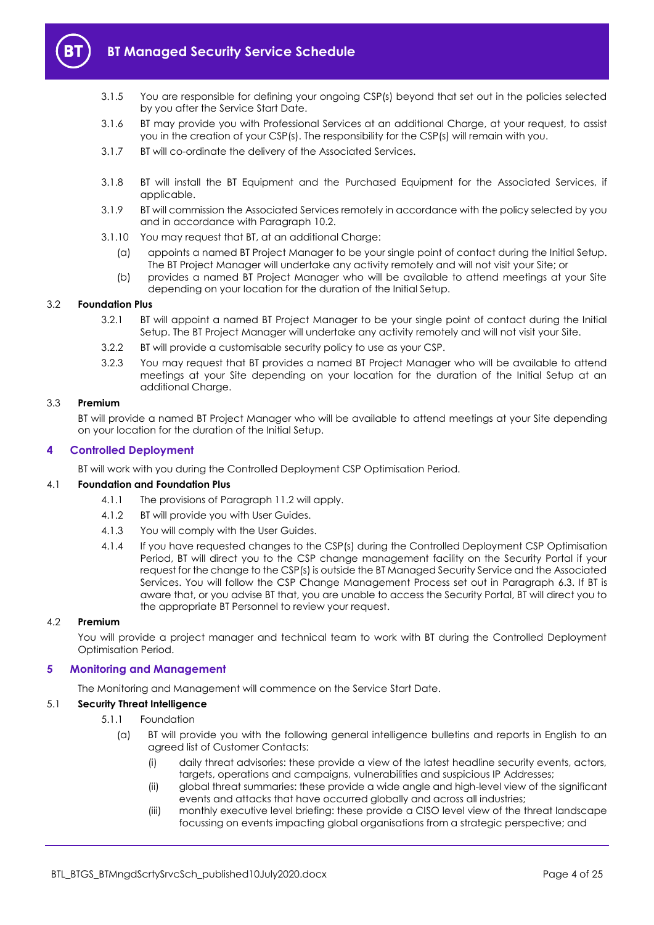

- 3.1.5 You are responsible for defining your ongoing CSP(s) beyond that set out in the policies selected by you after the Service Start Date.
- 3.1.6 BT may provide you with Professional Services at an additional Charge, at your request, to assist you in the creation of your CSP(s). The responsibility for the CSP(s) will remain with you.
- 3.1.7 BT will co-ordinate the delivery of the Associated Services.
- 3.1.8 BT will install the BT Equipment and the Purchased Equipment for the Associated Services, if applicable.
- 3.1.9 BT will commission the Associated Services remotely in accordance with the policy selected by you and in accordance with Paragraph [10.2.](#page-15-2)
- <span id="page-3-2"></span>3.1.10 You may request that BT, at an additional Charge:
	- (a) appoints a named BT Project Manager to be your single point of contact during the Initial Setup. The BT Project Manager will undertake any activity remotely and will not visit your Site; or
	- (b) provides a named BT Project Manager who will be available to attend meetings at your Site depending on your location for the duration of the Initial Setup.

#### 3.2 **Foundation Plus**

- 3.2.1 BT will appoint a named BT Project Manager to be your single point of contact during the Initial Setup. The BT Project Manager will undertake any activity remotely and will not visit your Site.
- 3.2.2 BT will provide a customisable security policy to use as your CSP.
- 3.2.3 You may request that BT provides a named BT Project Manager who will be available to attend meetings at your Site depending on your location for the duration of the Initial Setup at an additional Charge.

#### <span id="page-3-3"></span>3.3 **Premium**

BT will provide a named BT Project Manager who will be available to attend meetings at your Site depending on your location for the duration of the Initial Setup.

#### <span id="page-3-0"></span>**4 Controlled Deployment**

BT will work with you during the Controlled Deployment CSP Optimisation Period.

#### 4.1 **Foundation and Foundation Plus**

- 4.1.1 The provisions of Paragraph [11.2](#page-17-0) will apply.
- 4.1.2 BT will provide you with User Guides.
- 4.1.3 You will comply with the User Guides.
- 4.1.4 If you have requested changes to the CSP(s) during the Controlled Deployment CSP Optimisation Period, BT will direct you to the CSP change management facility on the Security Portal if your request for the change to the CSP(s) is outside the BT Managed Security Service and the Associated Services. You will follow the CSP Change Management Process set out in Paragraph [6.3.](#page-9-0) If BT is aware that, or you advise BT that, you are unable to access the Security Portal, BT will direct you to the appropriate BT Personnel to review your request.

#### 4.2 **Premium**

You will provide a project manager and technical team to work with BT during the Controlled Deployment Optimisation Period.

#### <span id="page-3-1"></span>**5 Monitoring and Management**

The Monitoring and Management will commence on the Service Start Date.

## <span id="page-3-4"></span>5.1 **Security Threat Intelligence**

- 5.1.1 Foundation
	- (a) BT will provide you with the following general intelligence bulletins and reports in English to an agreed list of Customer Contacts:
		- (i) daily threat advisories: these provide a view of the latest headline security events, actors, targets, operations and campaigns, vulnerabilities and suspicious IP Addresses;
		- (ii) global threat summaries: these provide a wide angle and high-level view of the significant events and attacks that have occurred globally and across all industries;
		- (iii) monthly executive level briefing: these provide a CISO level view of the threat landscape focussing on events impacting global organisations from a strategic perspective; and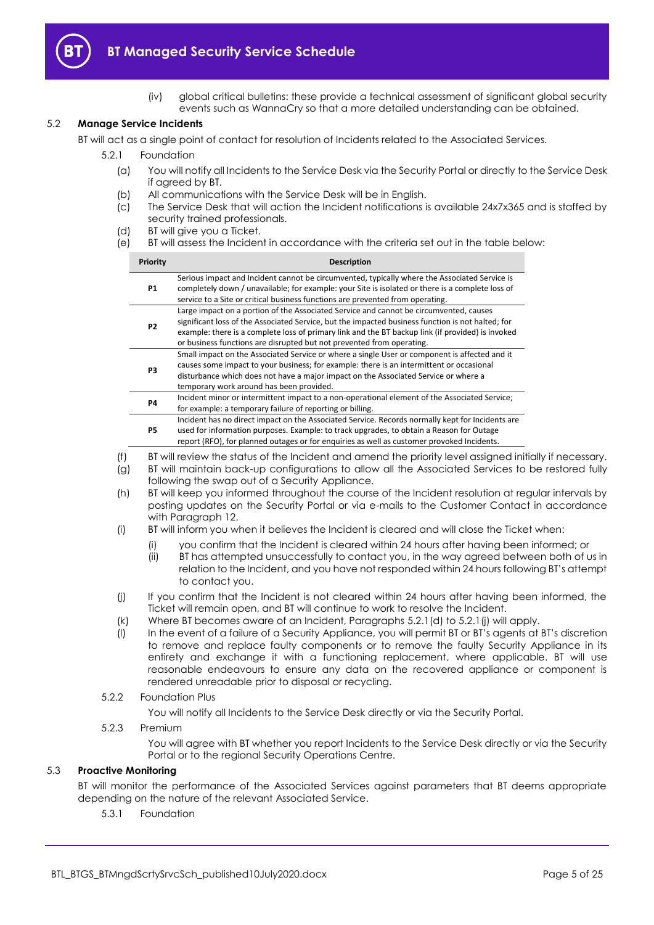

(iv) global critical bulletins: these provide a technical assessment of significant global security events such as WannaCry so that a more detailed understanding can be obtained.

#### <span id="page-4-2"></span>5.2 **Manage Service Incidents**

BT will act as a single point of contact for resolution of Incidents related to the Associated Services.

5.2.1 Foundation

- (a) You will notify all Incidents to the Service Desk via the Security Portal or directly to the Service Desk if agreed by BT.
- (b) All communications with the Service Desk will be in English.
- (c) The Service Desk that will action the Incident notifications is available 24x7x365 and is staffed by security trained professionals.
- <span id="page-4-0"></span>(d) BT will give you a Ticket.
- <span id="page-4-3"></span>(e) BT will assess the Incident in accordance with the criteria set out in the table below:

| Priority       | <b>Description</b>                                                                                                                                                                                                                                                                                                                                                        |
|----------------|---------------------------------------------------------------------------------------------------------------------------------------------------------------------------------------------------------------------------------------------------------------------------------------------------------------------------------------------------------------------------|
| <b>P1</b>      | Serious impact and Incident cannot be circumvented, typically where the Associated Service is<br>completely down / unavailable; for example: your Site is isolated or there is a complete loss of<br>service to a Site or critical business functions are prevented from operating.                                                                                       |
| P <sub>2</sub> | Large impact on a portion of the Associated Service and cannot be circumvented, causes<br>significant loss of the Associated Service, but the impacted business function is not halted; for<br>example: there is a complete loss of primary link and the BT backup link (if provided) is invoked<br>or business functions are disrupted but not prevented from operating. |
| P <sub>3</sub> | Small impact on the Associated Service or where a single User or component is affected and it<br>causes some impact to your business; for example: there is an intermittent or occasional<br>disturbance which does not have a major impact on the Associated Service or where a<br>temporary work around has been provided.                                              |
| <b>P4</b>      | Incident minor or intermittent impact to a non-operational element of the Associated Service;<br>for example: a temporary failure of reporting or billing.                                                                                                                                                                                                                |
| <b>P5</b>      | Incident has no direct impact on the Associated Service. Records normally kept for Incidents are<br>used for information purposes. Example: to track upgrades, to obtain a Reason for Outage<br>report (RFO), for planned outages or for enquiries as well as customer provoked Incidents.                                                                                |

- (f) BT will review the status of the Incident and amend the priority level assigned initially if necessary.
- (g) BT will maintain back-up configurations to allow all the Associated Services to be restored fully following the swap out of a Security Appliance.
- (h) BT will keep you informed throughout the course of the Incident resolution at regular intervals by posting updates on the Security Portal or via e-mails to the Customer Contact in accordance with Paragraph [12.](#page-19-1)
- (i) BT will inform you when it believes the Incident is cleared and will close the Ticket when:
	- (i) you confirm that the Incident is cleared within 24 hours after having been informed; or
	- (ii) BT has attempted unsuccessfully to contact you, in the way agreed between both of us in relation to the Incident, and you have not responded within 24 hours following BT's attempt to contact you.
- <span id="page-4-1"></span>(j) If you confirm that the Incident is not cleared within 24 hours after having been informed, the Ticket will remain open, and BT will continue to work to resolve the Incident.
- (k) Where BT becomes aware of an Incident, Paragraphs [5.2.1\(d\)](#page-4-0) t[o 5.2.1\(j\)](#page-4-1) will apply.
- (l) In the event of a failure of a Security Appliance, you will permit BT or BT's agents at BT's discretion to remove and replace faulty components or to remove the faulty Security Appliance in its entirety and exchange it with a functioning replacement, where applicable. BT will use reasonable endeavours to ensure any data on the recovered appliance or component is rendered unreadable prior to disposal or recycling.

#### 5.2.2 Foundation Plus

You will notify all Incidents to the Service Desk directly or via the Security Portal.

#### 5.2.3 Premium

You will agree with BT whether you report Incidents to the Service Desk directly or via the Security Portal or to the regional Security Operations Centre.

#### 5.3 **Proactive Monitoring**

BT will monitor the performance of the Associated Services against parameters that BT deems appropriate depending on the nature of the relevant Associated Service.

5.3.1 Foundation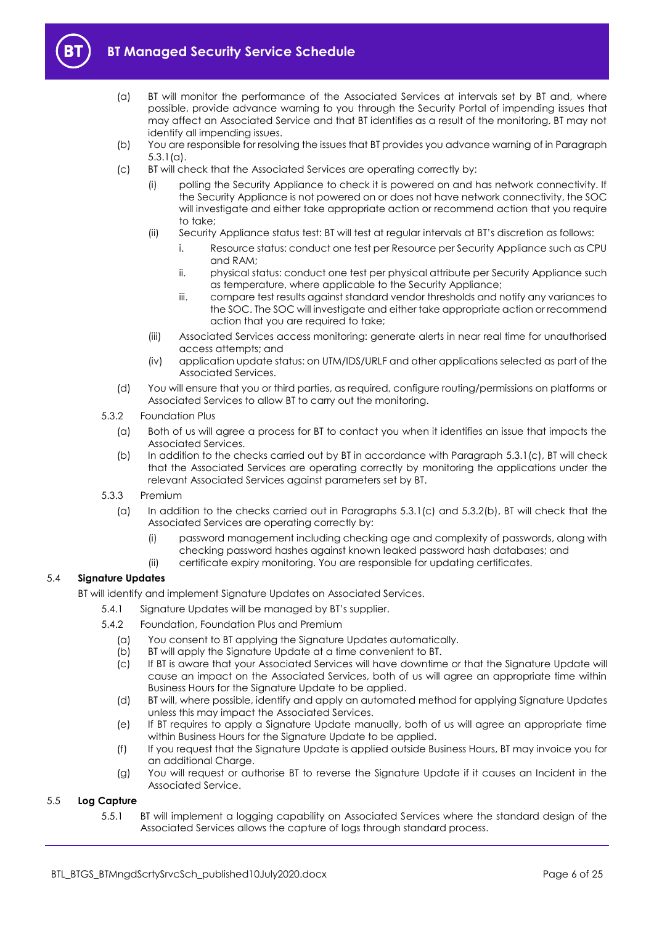

- <span id="page-5-0"></span>
- (a) BT will monitor the performance of the Associated Services at intervals set by BT and, where possible, provide advance warning to you through the Security Portal of impending issues that may affect an Associated Service and that BT identifies as a result of the monitoring. BT may not identify all impending issues.
- (b) You are responsible for resolving the issues that BT provides you advance warning of in Paragraph [5.3.1\(a\).](#page-5-0)
- <span id="page-5-1"></span>(c) BT will check that the Associated Services are operating correctly by:
	- (i) polling the Security Appliance to check it is powered on and has network connectivity. If the Security Appliance is not powered on or does not have network connectivity, the SOC will investigate and either take appropriate action or recommend action that you require to take;
	- (ii) Security Appliance status test: BT will test at regular intervals at BT's discretion as follows:
		- i. Resource status: conduct one test per Resource per Security Appliance such as CPU and RAM;
		- ii. physical status: conduct one test per physical attribute per Security Appliance such as temperature, where applicable to the Security Appliance;
		- iii. compare test results against standard vendor thresholds and notify any variances to the SOC. The SOC will investigate and either take appropriate action or recommend action that you are required to take;
	- (iii) Associated Services access monitoring: generate alerts in near real time for unauthorised access attempts; and
	- (iv) application update status: on UTM/IDS/URLF and other applications selected as part of the Associated Services.
- (d) You will ensure that you or third parties, as required, configure routing/permissions on platforms or Associated Services to allow BT to carry out the monitoring.
- <span id="page-5-2"></span>5.3.2 Foundation Plus
	- (a) Both of us will agree a process for BT to contact you when it identifies an issue that impacts the Associated Services.
	- (b) In addition to the checks carried out by BT in accordance with Paragraph [5.3.1\(c\),](#page-5-1) BT will check that the Associated Services are operating correctly by monitoring the applications under the relevant Associated Services against parameters set by BT.
- 5.3.3 Premium
	- (a) In addition to the checks carried out in Paragraphs [5.3.1\(c\)](#page-5-1) and [5.3.2\(b\),](#page-5-2) BT will check that the Associated Services are operating correctly by:
		- (i) password management including checking age and complexity of passwords, along with checking password hashes against known leaked password hash databases; and
		- (ii) certificate expiry monitoring. You are responsible for updating certificates.

#### 5.4 **Signature Updates**

BT will identify and implement Signature Updates on Associated Services.

- 5.4.1 Signature Updates will be managed by BT's supplier.
- 5.4.2 Foundation, Foundation Plus and Premium
	- (a) You consent to BT applying the Signature Updates automatically.
	- (b) BT will apply the Signature Update at a time convenient to BT.
	- (c) If BT is aware that your Associated Services will have downtime or that the Signature Update will cause an impact on the Associated Services, both of us will agree an appropriate time within Business Hours for the Signature Update to be applied.
	- (d) BT will, where possible, identify and apply an automated method for applying Signature Updates unless this may impact the Associated Services.
	- (e) If BT requires to apply a Signature Update manually, both of us will agree an appropriate time within Business Hours for the Signature Update to be applied.
	- (f) If you request that the Signature Update is applied outside Business Hours, BT may invoice you for an additional Charge.
	- (g) You will request or authorise BT to reverse the Signature Update if it causes an Incident in the Associated Service.

#### <span id="page-5-4"></span><span id="page-5-3"></span>5.5 **Log Capture**

5.5.1 BT will implement a logging capability on Associated Services where the standard design of the Associated Services allows the capture of logs through standard process.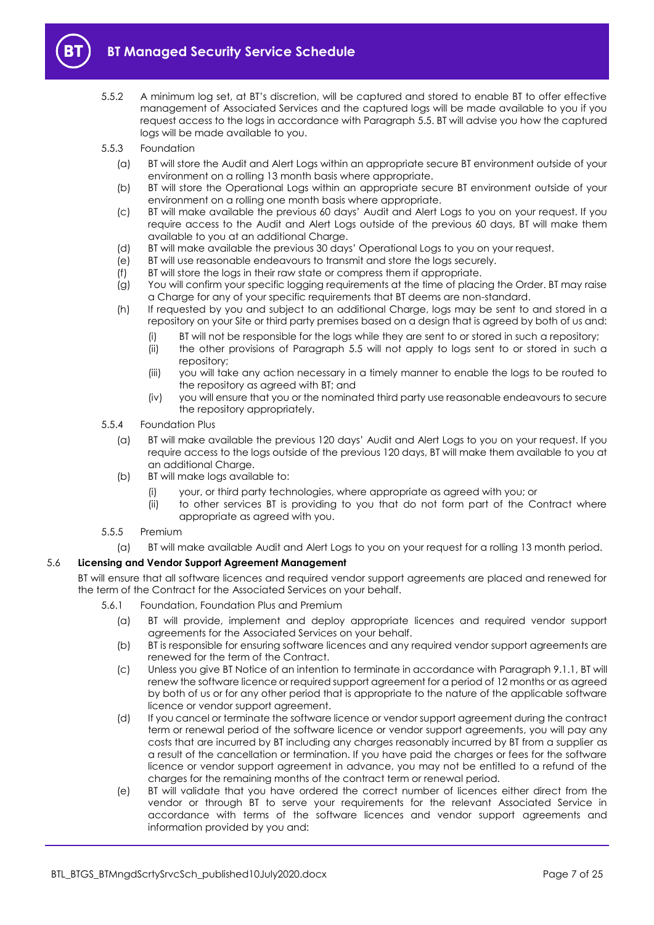

- 5.5.2 A minimum log set, at BT's discretion, will be captured and stored to enable BT to offer effective management of Associated Services and the captured logs will be made available to you if you request access to the logs in accordance with Paragraph [5.5.](#page-5-3) BT will advise you how the captured logs will be made available to you.
- <span id="page-6-3"></span><span id="page-6-1"></span>5.5.3 Foundation
	- (a) BT will store the Audit and Alert Logs within an appropriate secure BT environment outside of your environment on a rolling 13 month basis where appropriate.
	- (b) BT will store the Operational Logs within an appropriate secure BT environment outside of your environment on a rolling one month basis where appropriate.
	- (c) BT will make available the previous 60 days' Audit and Alert Logs to you on your request. If you require access to the Audit and Alert Logs outside of the previous 60 days, BT will make them available to you at an additional Charge.
	- (d) BT will make available the previous 30 days' Operational Logs to you on your request.
	- (e) BT will use reasonable endeavours to transmit and store the logs securely.
	- (f) BT will store the logs in their raw state or compress them if appropriate.
	- (g) You will confirm your specific logging requirements at the time of placing the Order. BT may raise a Charge for any of your specific requirements that BT deems are non-standard.
	- (h) If requested by you and subject to an additional Charge, logs may be sent to and stored in a repository on your Site or third party premises based on a design that is agreed by both of us and:
		- (i) BT will not be responsible for the logs while they are sent to or stored in such a repository;
		- (ii) the other provisions of Paragraph [5.5](#page-5-3) will not apply to logs sent to or stored in such a repository;
		- (iii) you will take any action necessary in a timely manner to enable the logs to be routed to the repository as agreed with BT; and
		- (iv) you will ensure that you or the nominated third party use reasonable endeavours to secure the repository appropriately.
- <span id="page-6-4"></span><span id="page-6-2"></span>5.5.4 Foundation Plus
	- (a) BT will make available the previous 120 days' Audit and Alert Logs to you on your request. If you require access to the logs outside of the previous 120 days, BT will make them available to you at an additional Charge.
	- (b) BT will make logs available to:
		- your, or third party technologies, where appropriate as agreed with you; or
		- (ii) to other services BT is providing to you that do not form part of the Contract where appropriate as agreed with you.
- 5.5.5 Premium
	- (a) BT will make available Audit and Alert Logs to you on your request for a rolling 13 month period.

#### 5.6 **Licensing and Vendor Support Agreement Management**

BT will ensure that all software licences and required vendor support agreements are placed and renewed for the term of the Contract for the Associated Services on your behalf.

- <span id="page-6-0"></span>5.6.1 Foundation, Foundation Plus and Premium
	- (a) BT will provide, implement and deploy appropriate licences and required vendor support agreements for the Associated Services on your behalf.
	- (b) BT is responsible for ensuring software licences and any required vendor support agreements are renewed for the term of the Contract.
	- (c) Unless you give BT Notice of an intention to terminate in accordance with Paragraph [9.1.1,](#page-11-1) BT will renew the software licence or required support agreement for a period of 12 months or as agreed by both of us or for any other period that is appropriate to the nature of the applicable software licence or vendor support agreement.
	- (d) If you cancel or terminate the software licence or vendor support agreement during the contract term or renewal period of the software licence or vendor support agreements, you will pay any costs that are incurred by BT including any charges reasonably incurred by BT from a supplier as a result of the cancellation or termination. If you have paid the charges or fees for the software licence or vendor support agreement in advance, you may not be entitled to a refund of the charges for the remaining months of the contract term or renewal period.
	- (e) BT will validate that you have ordered the correct number of licences either direct from the vendor or through BT to serve your requirements for the relevant Associated Service in accordance with terms of the software licences and vendor support agreements and information provided by you and: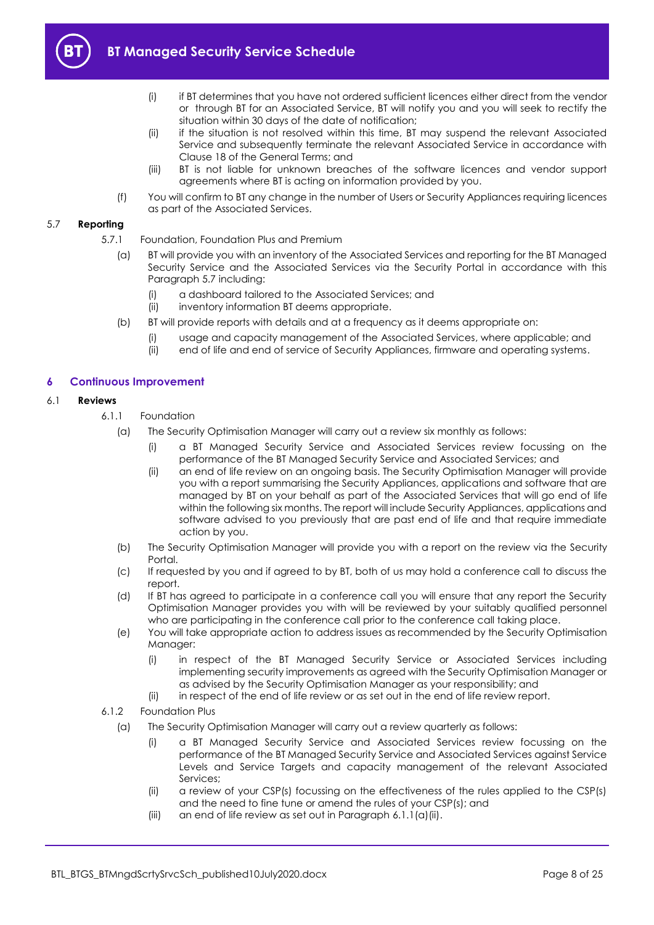

- (i) if BT determines that you have not ordered sufficient licences either direct from the vendor or through BT for an Associated Service, BT will notify you and you will seek to rectify the situation within 30 days of the date of notification;
- (ii) if the situation is not resolved within this time, BT may suspend the relevant Associated Service and subsequently terminate the relevant Associated Service in accordance with Clause 18 of the General Terms; and
- (iii) BT is not liable for unknown breaches of the software licences and vendor support agreements where BT is acting on information provided by you.
- (f) You will confirm to BT any change in the number of Users or Security Appliances requiring licences as part of the Associated Services.

#### <span id="page-7-1"></span>5.7 **Reporting**

- 5.7.1 Foundation, Foundation Plus and Premium
	- (a) BT will provide you with an inventory of the Associated Services and reporting for the BT Managed Security Service and the Associated Services via the Security Portal in accordance with this Paragraph [5.7](#page-7-1) including:
		- (i) a dashboard tailored to the Associated Services; and
		- (ii) inventory information BT deems appropriate.
	- (b) BT will provide reports with details and at a frequency as it deems appropriate on:
		- (i) usage and capacity management of the Associated Services, where applicable; and
		- (ii) end of life and end of service of Security Appliances, firmware and operating systems.

## <span id="page-7-0"></span>**6 Continuous Improvement**

#### <span id="page-7-4"></span><span id="page-7-2"></span>6.1 **Reviews**

- 6.1.1 Foundation
	- (a) The Security Optimisation Manager will carry out a review six monthly as follows:
		- (i) a BT Managed Security Service and Associated Services review focussing on the performance of the BT Managed Security Service and Associated Services; and
		- (ii) an end of life review on an ongoing basis. The Security Optimisation Manager will provide you with a report summarising the Security Appliances, applications and software that are managed by BT on your behalf as part of the Associated Services that will go end of life within the following six months. The report will include Security Appliances, applications and software advised to you previously that are past end of life and that require immediate action by you.
	- (b) The Security Optimisation Manager will provide you with a report on the review via the Security Portal.
	- (c) If requested by you and if agreed to by BT, both of us may hold a conference call to discuss the report.
	- (d) If BT has agreed to participate in a conference call you will ensure that any report the Security Optimisation Manager provides you with will be reviewed by your suitably qualified personnel who are participating in the conference call prior to the conference call taking place.
	- (e) You will take appropriate action to address issues as recommended by the Security Optimisation Manager:
		- (i) in respect of the BT Managed Security Service or Associated Services including implementing security improvements as agreed with the Security Optimisation Manager or as advised by the Security Optimisation Manager as your responsibility; and
		- (ii) in respect of the end of life review or as set out in the end of life review report.
- <span id="page-7-3"></span>6.1.2 Foundation Plus
	- (a) The Security Optimisation Manager will carry out a review quarterly as follows:
		- (i) a BT Managed Security Service and Associated Services review focussing on the performance of the BT Managed Security Service and Associated Services against Service Levels and Service Targets and capacity management of the relevant Associated Services;
		- (ii) a review of your CSP(s) focussing on the effectiveness of the rules applied to the CSP(s) and the need to fine tune or amend the rules of your CSP(s); and
		- (iii) an end of life review as set out in Paragraph [6.1.1\(a\)\(ii\).](#page-7-2)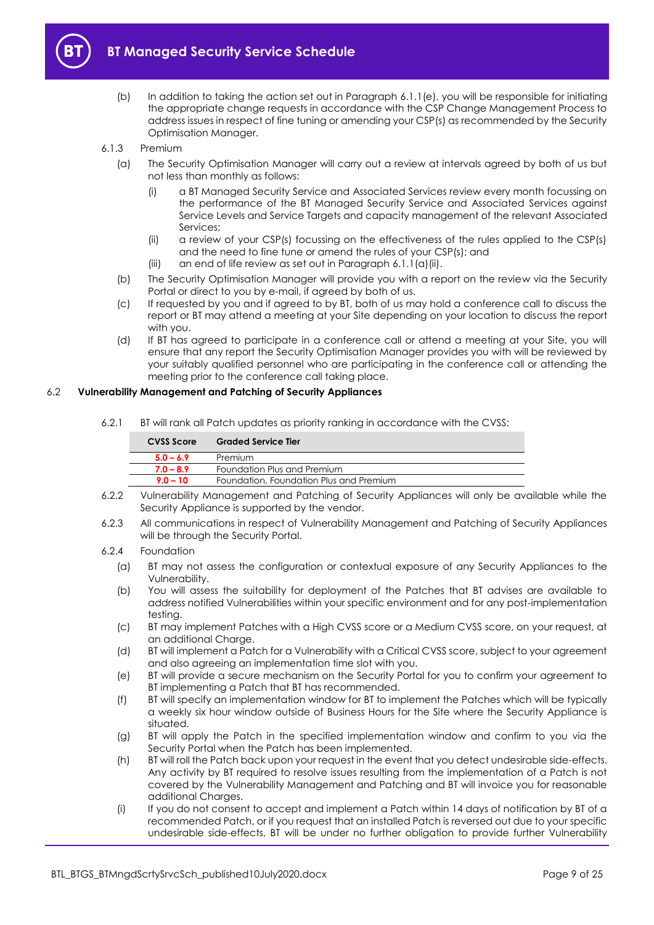

- (b) In addition to taking the action set out in Paragraph [6.1.1\(e\),](#page-7-3) you will be responsible for initiating the appropriate change requests in accordance with the CSP Change Management Process to address issues in respect of fine tuning or amending your CSP(s) as recommended by the Security Optimisation Manager.
- 6.1.3 Premium
	- (a) The Security Optimisation Manager will carry out a review at intervals agreed by both of us but not less than monthly as follows:
		- (i) a BT Managed Security Service and Associated Services review every month focussing on the performance of the BT Managed Security Service and Associated Services against Service Levels and Service Targets and capacity management of the relevant Associated Services;
		- (ii) a review of your CSP(s) focussing on the effectiveness of the rules applied to the CSP(s) and the need to fine tune or amend the rules of your CSP(s); and
		- $(iii)$  an end of life review as set out in Paragraph [6.1.1\(a\)\(ii\).](#page-7-2)
	- (b) The Security Optimisation Manager will provide you with a report on the review via the Security Portal or direct to you by e-mail, if agreed by both of us.
	- (c) If requested by you and if agreed to by BT, both of us may hold a conference call to discuss the report or BT may attend a meeting at your Site depending on your location to discuss the report with you.
	- (d) If BT has agreed to participate in a conference call or attend a meeting at your Site, you will ensure that any report the Security Optimisation Manager provides you with will be reviewed by your suitably qualified personnel who are participating in the conference call or attending the meeting prior to the conference call taking place.

#### <span id="page-8-2"></span>6.2 **Vulnerability Management and Patching of Security Appliances**

6.2.1 BT will rank all Patch updates as priority ranking in accordance with the CVSS:

| CVSS Score  | <b>Graded Service Tier</b>              |
|-------------|-----------------------------------------|
| $5.0 - 6.9$ | Premium                                 |
| $7.0 - 8.9$ | Foundation Plus and Premium             |
| $90 - 10$   | Foundation, Foundation Plus and Premium |

- 6.2.2 Vulnerability Management and Patching of Security Appliances will only be available while the Security Appliance is supported by the vendor.
- 6.2.3 All communications in respect of Vulnerability Management and Patching of Security Appliances will be through the Security Portal.

#### 6.2.4 Foundation

- (a) BT may not assess the configuration or contextual exposure of any Security Appliances to the Vulnerability.
- (b) You will assess the suitability for deployment of the Patches that BT advises are available to address notified Vulnerabilities within your specific environment and for any post-implementation testing.
- <span id="page-8-0"></span>(c) BT may implement Patches with a High CVSS score or a Medium CVSS score, on your request, at an additional Charge.
- (d) BT will implement a Patch for a Vulnerability with a Critical CVSS score, subject to your agreement and also agreeing an implementation time slot with you.
- (e) BT will provide a secure mechanism on the Security Portal for you to confirm your agreement to BT implementing a Patch that BT has recommended.
- (f) BT will specify an implementation window for BT to implement the Patches which will be typically a weekly six hour window outside of Business Hours for the Site where the Security Appliance is situated.
- (g) BT will apply the Patch in the specified implementation window and confirm to you via the Security Portal when the Patch has been implemented.
- <span id="page-8-1"></span>(h) BT will roll the Patch back upon your request in the event that you detect undesirable side-effects. Any activity by BT required to resolve issues resulting from the implementation of a Patch is not covered by the Vulnerability Management and Patching and BT will invoice you for reasonable additional Charges.
- (i) If you do not consent to accept and implement a Patch within 14 days of notification by BT of a recommended Patch, or if you request that an installed Patch is reversed out due to your specific undesirable side-effects, BT will be under no further obligation to provide further Vulnerability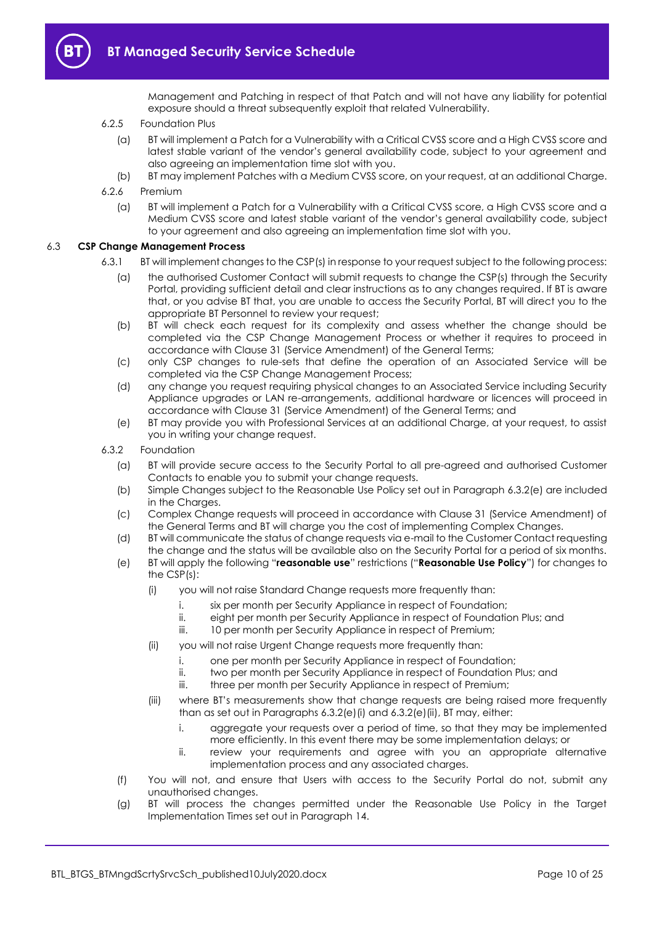

Management and Patching in respect of that Patch and will not have any liability for potential exposure should a threat subsequently exploit that related Vulnerability.

#### 6.2.5 Foundation Plus

- (a) BT will implement a Patch for a Vulnerability with a Critical CVSS score and a High CVSS score and latest stable variant of the vendor's general availability code, subject to your agreement and also agreeing an implementation time slot with you.
- (b) BT may implement Patches with a Medium CVSS score, on your request, at an additional Charge.
- <span id="page-9-4"></span>6.2.6 Premium
	- (a) BT will implement a Patch for a Vulnerability with a Critical CVSS score, a High CVSS score and a Medium CVSS score and latest stable variant of the vendor's general availability code, subject to your agreement and also agreeing an implementation time slot with you.

#### <span id="page-9-0"></span>6.3 **CSP Change Management Process**

- 6.3.1 BT will implement changes to the CSP(s) in response to your request subject to the following process:
	- (a) the authorised Customer Contact will submit requests to change the CSP(s) through the Security Portal, providing sufficient detail and clear instructions as to any changes required. If BT is aware that, or you advise BT that, you are unable to access the Security Portal, BT will direct you to the appropriate BT Personnel to review your request;
	- (b) BT will check each request for its complexity and assess whether the change should be completed via the CSP Change Management Process or whether it requires to proceed in accordance with Clause 31 (Service Amendment) of the General Terms;
	- (c) only CSP changes to rule-sets that define the operation of an Associated Service will be completed via the CSP Change Management Process;
	- (d) any change you request requiring physical changes to an Associated Service including Security Appliance upgrades or LAN re-arrangements, additional hardware or licences will proceed in accordance with Clause 31 (Service Amendment) of the General Terms; and
	- (e) BT may provide you with Professional Services at an additional Charge, at your request, to assist you in writing your change request.
- <span id="page-9-6"></span><span id="page-9-5"></span><span id="page-9-3"></span><span id="page-9-2"></span><span id="page-9-1"></span>6.3.2 Foundation
	- (a) BT will provide secure access to the Security Portal to all pre-agreed and authorised Customer Contacts to enable you to submit your change requests.
	- (b) Simple Changes subject to the Reasonable Use Policy set out in Paragraph [6.3.2\(e\)](#page-9-1) are included in the Charges.
	- (c) Complex Change requests will proceed in accordance with Clause 31 (Service Amendment) of the General Terms and BT will charge you the cost of implementing Complex Changes.
	- (d) BT will communicate the status of change requests via e-mail to the Customer Contact requesting the change and the status will be available also on the Security Portal for a period of six months.
	- (e) BT will apply the following "**reasonable use**" restrictions ("**Reasonable Use Policy**") for changes to the CSP(s):
		- (i) you will not raise Standard Change requests more frequently than:
			- i. six per month per Security Appliance in respect of Foundation;
			- ii. eight per month per Security Appliance in respect of Foundation Plus; and
			- iii. 10 per month per Security Appliance in respect of Premium;
		- (ii) you will not raise Urgent Change requests more frequently than:
			- i. one per month per Security Appliance in respect of Foundation;
			- ii. two per month per Security Appliance in respect of Foundation Plus; and
			- iii. three per month per Security Appliance in respect of Premium;
		- (iii) where BT's measurements show that change requests are being raised more frequently than as set out in Paragraphs [6.3.2\(e\)\(i\)](#page-9-2) and [6.3.2\(e\)\(ii\),](#page-9-3) BT may, either:
			- i. aggregate your requests over a period of time, so that they may be implemented more efficiently. In this event there may be some implementation delays; or
			- ii. review your requirements and agree with you an appropriate alternative implementation process and any associated charges.
	- (f) You will not, and ensure that Users with access to the Security Portal do not, submit any unauthorised changes.
	- (g) BT will process the changes permitted under the Reasonable Use Policy in the Target Implementation Times set out in Paragraph [14.](#page-19-3)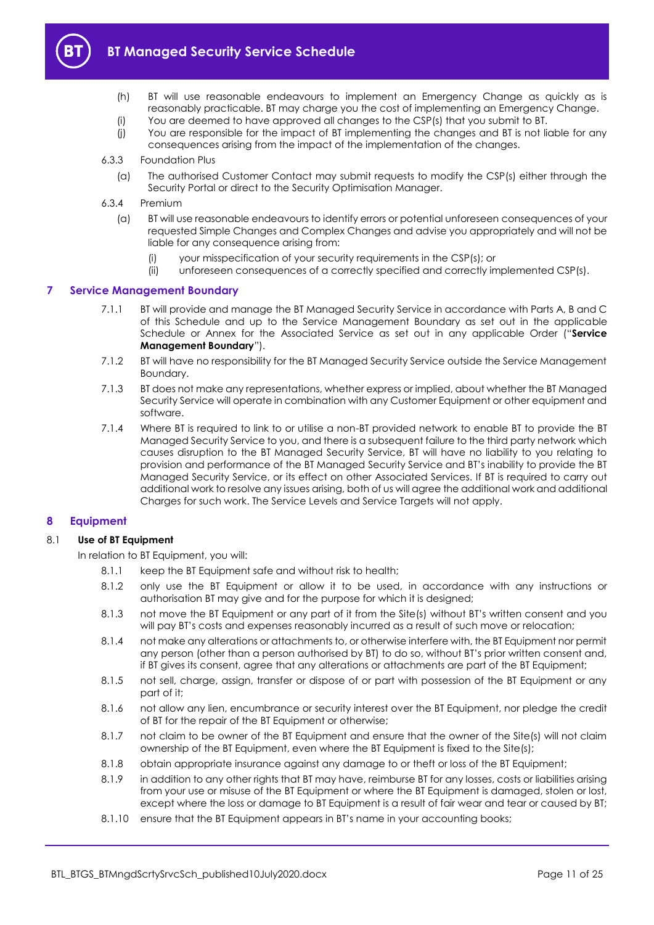<span id="page-10-2"></span>

- (h) BT will use reasonable endeavours to implement an Emergency Change as quickly as is reasonably practicable. BT may charge you the cost of implementing an Emergency Change.
- (i) You are deemed to have approved all changes to the CSP(s) that you submit to BT.
- (j) You are responsible for the impact of BT implementing the changes and BT is not liable for any consequences arising from the impact of the implementation of the changes.
- <span id="page-10-4"></span>6.3.3 Foundation Plus
	- (a) The authorised Customer Contact may submit requests to modify the CSP(s) either through the Security Portal or direct to the Security Optimisation Manager.
- 6.3.4 Premium
	- (a) BT will use reasonable endeavours to identify errors or potential unforeseen consequences of your requested Simple Changes and Complex Changes and advise you appropriately and will not be liable for any consequence arising from:
		- (i) your misspecification of your security requirements in the CSP(s); or
		- (ii) unforeseen consequences of a correctly specified and correctly implemented CSP(s).

#### <span id="page-10-5"></span><span id="page-10-0"></span>**7 Service Management Boundary**

- 7.1.1 BT will provide and manage the BT Managed Security Service in accordance with Parts A, B and C of this Schedule and up to the Service Management Boundary as set out in the applicable Schedule or Annex for the Associated Service as set out in any applicable Order ("**Service Management Boundary**").
- 7.1.2 BT will have no responsibility for the BT Managed Security Service outside the Service Management Boundary.
- 7.1.3 BT does not make any representations, whether express or implied, about whether the BT Managed Security Service will operate in combination with any Customer Equipment or other equipment and software.
- <span id="page-10-3"></span>7.1.4 Where BT is required to link to or utilise a non-BT provided network to enable BT to provide the BT Managed Security Service to you, and there is a subsequent failure to the third party network which causes disruption to the BT Managed Security Service, BT will have no liability to you relating to provision and performance of the BT Managed Security Service and BT's inability to provide the BT Managed Security Service, or its effect on other Associated Services. If BT is required to carry out additional work to resolve any issues arising, both of us will agree the additional work and additional Charges for such work. The Service Levels and Service Targets will not apply.

#### <span id="page-10-1"></span>**8 Equipment**

#### 8.1 **Use of BT Equipment**

In relation to BT Equipment, you will:

- 8.1.1 keep the BT Equipment safe and without risk to health;
- 8.1.2 only use the BT Equipment or allow it to be used, in accordance with any instructions or authorisation BT may give and for the purpose for which it is designed;
- 8.1.3 not move the BT Equipment or any part of it from the Site(s) without BT's written consent and you will pay BT's costs and expenses reasonably incurred as a result of such move or relocation;
- 8.1.4 not make any alterations or attachments to, or otherwise interfere with, the BT Equipment nor permit any person (other than a person authorised by BT) to do so, without BT's prior written consent and, if BT gives its consent, agree that any alterations or attachments are part of the BT Equipment;
- 8.1.5 not sell, charge, assign, transfer or dispose of or part with possession of the BT Equipment or any part of it;
- 8.1.6 not allow any lien, encumbrance or security interest over the BT Equipment, nor pledge the credit of BT for the repair of the BT Equipment or otherwise;
- 8.1.7 not claim to be owner of the BT Equipment and ensure that the owner of the Site(s) will not claim ownership of the BT Equipment, even where the BT Equipment is fixed to the Site(s);
- 8.1.8 obtain appropriate insurance against any damage to or theft or loss of the BT Equipment;
- 8.1.9 in addition to any other rights that BT may have, reimburse BT for any losses, costs or liabilities arising from your use or misuse of the BT Equipment or where the BT Equipment is damaged, stolen or lost, except where the loss or damage to BT Equipment is a result of fair wear and tear or caused by BT;
- 8.1.10 ensure that the BT Equipment appears in BT's name in your accounting books;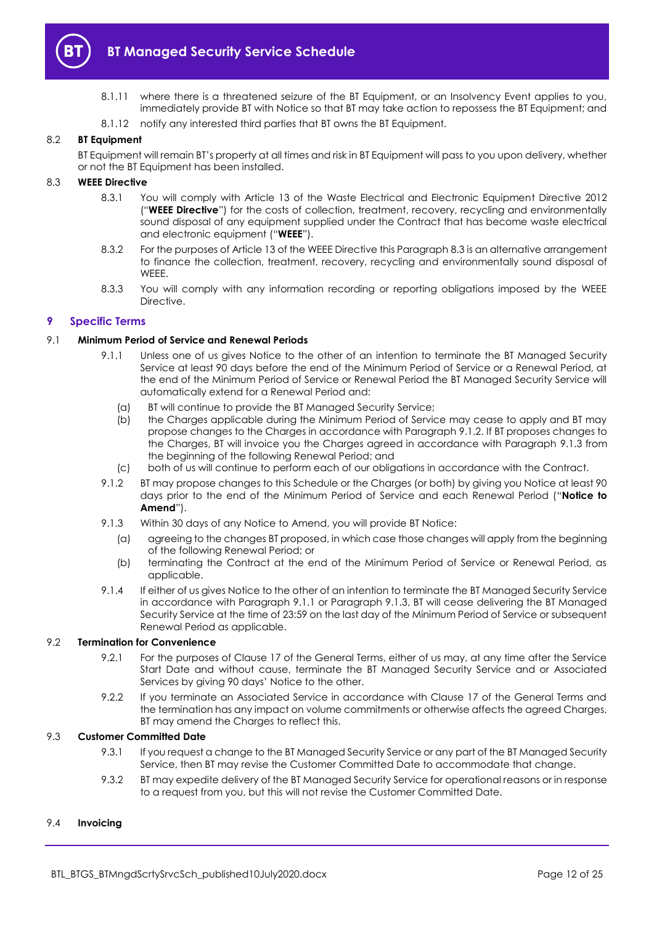

- 8.1.11 where there is a threatened seizure of the BT Equipment, or an Insolvency Event applies to you, immediately provide BT with Notice so that BT may take action to repossess the BT Equipment; and
- 8.1.12 notify any interested third parties that BT owns the BT Equipment.

#### 8.2 **BT Equipment**

BT Equipment will remain BT's property at all times and risk in BT Equipment will pass to you upon delivery, whether or not the BT Equipment has been installed.

#### <span id="page-11-6"></span><span id="page-11-2"></span>8.3 **WEEE Directive**

- 8.3.1 You will comply with Article 13 of the Waste Electrical and Electronic Equipment Directive 2012 ("**WEEE Directive**") for the costs of collection, treatment, recovery, recycling and environmentally sound disposal of any equipment supplied under the Contract that has become waste electrical and electronic equipment ("**WEEE**").
- 8.3.2 For the purposes of Article 13 of the WEEE Directive this Paragrap[h 8.3](#page-11-2) is an alternative arrangement to finance the collection, treatment, recovery, recycling and environmentally sound disposal of WEEE.
- 8.3.3 You will comply with any information recording or reporting obligations imposed by the WEEE Directive.

#### <span id="page-11-0"></span>**9 Specific Terms**

#### <span id="page-11-1"></span>9.1 **Minimum Period of Service and Renewal Periods**

- 9.1.1 Unless one of us gives Notice to the other of an intention to terminate the BT Managed Security Service at least 90 days before the end of the Minimum Period of Service or a Renewal Period, at the end of the Minimum Period of Service or Renewal Period the BT Managed Security Service will automatically extend for a Renewal Period and:
	- (a) BT will continue to provide the BT Managed Security Service;
	- (b) the Charges applicable during the Minimum Period of Service may cease to apply and BT may propose changes to the Charges in accordance with Paragraph [9.1.2.](#page-11-3) If BT proposes changes to the Charges, BT will invoice you the Charges agreed in accordance with Paragraph [9.1.3](#page-11-4) from the beginning of the following Renewal Period; and
	- (c) both of us will continue to perform each of our obligations in accordance with the Contract.
- <span id="page-11-3"></span>9.1.2 BT may propose changes to this Schedule or the Charges (or both) by giving you Notice at least 90 days prior to the end of the Minimum Period of Service and each Renewal Period ("**Notice to Amend**").
- <span id="page-11-4"></span>9.1.3 Within 30 days of any Notice to Amend, you will provide BT Notice:
	- (a) agreeing to the changes BT proposed, in which case those changes will apply from the beginning of the following Renewal Period; or
	- (b) terminating the Contract at the end of the Minimum Period of Service or Renewal Period, as applicable.
- 9.1.4 If either of us gives Notice to the other of an intention to terminate the BT Managed Security Service in accordance with Paragraph [9.1.1](#page-11-1) or Paragraph [9.1.3,](#page-11-4) BT will cease delivering the BT Managed Security Service at the time of 23:59 on the last day of the Minimum Period of Service or subsequent Renewal Period as applicable.

#### 9.2 **Termination for Convenience**

- 9.2.1 For the purposes of Clause 17 of the General Terms, either of us may, at any time after the Service Start Date and without cause, terminate the BT Managed Security Service and or Associated Services by giving 90 days' Notice to the other.
- 9.2.2 If you terminate an Associated Service in accordance with Clause 17 of the General Terms and the termination has any impact on volume commitments or otherwise affects the agreed Charges, BT may amend the Charaes to reflect this.

#### <span id="page-11-5"></span>9.3 **Customer Committed Date**

- 9.3.1 If you request a change to the BT Managed Security Service or any part of the BT Managed Security Service, then BT may revise the Customer Committed Date to accommodate that change.
- 9.3.2 BT may expedite delivery of the BT Managed Security Service for operational reasons or in response to a request from you, but this will not revise the Customer Committed Date.

#### 9.4 **Invoicing**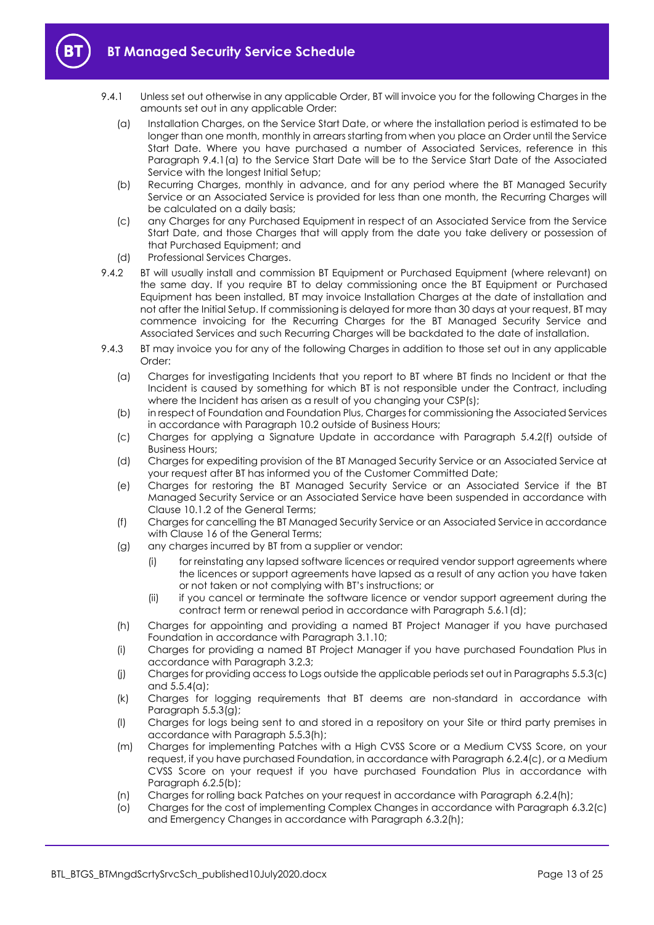

- <span id="page-12-0"></span>9.4.1 Unless set out otherwise in any applicable Order, BT will invoice you for the following Charges in the amounts set out in any applicable Order:
	- (a) Installation Charges, on the Service Start Date, or where the installation period is estimated to be longer than one month, monthly in arrears starting from when you place an Order until the Service Start Date. Where you have purchased a number of Associated Services, reference in this Paragraph [9.4.1\(a\)](#page-12-0) to the Service Start Date will be to the Service Start Date of the Associated Service with the longest Initial Setup;
	- (b) Recurring Charges, monthly in advance, and for any period where the BT Managed Security Service or an Associated Service is provided for less than one month, the Recurring Charges will be calculated on a daily basis;
	- (c) any Charges for any Purchased Equipment in respect of an Associated Service from the Service Start Date, and those Charges that will apply from the date you take delivery or possession of that Purchased Equipment; and
	- (d) Professional Services Charges.
- 9.4.2 BT will usually install and commission BT Equipment or Purchased Equipment (where relevant) on the same day. If you require BT to delay commissioning once the BT Equipment or Purchased Equipment has been installed, BT may invoice Installation Charges at the date of installation and not after the Initial Setup. If commissioning is delayed for more than 30 days at your request, BT may commence invoicing for the Recurring Charges for the BT Managed Security Service and Associated Services and such Recurring Charges will be backdated to the date of installation.
- 9.4.3 BT may invoice you for any of the following Charges in addition to those set out in any applicable Order:
	- (a) Charges for investigating Incidents that you report to BT where BT finds no Incident or that the Incident is caused by something for which BT is not responsible under the Contract, including where the Incident has arisen as a result of you changing your CSP(s);
	- (b) in respect of Foundation and Foundation Plus, Charges for commissioning the Associated Services in accordance with Paragrap[h 10.2](#page-15-2) outside of Business Hours;
	- (c) Charges for applying a Signature Update in accordance with Paragraph [5.4.2\(f\)](#page-5-4) outside of Business Hours;
	- (d) Charges for expediting provision of the BT Managed Security Service or an Associated Service at your request after BT has informed you of the Customer Committed Date;
	- (e) Charges for restoring the BT Managed Security Service or an Associated Service if the BT Managed Security Service or an Associated Service have been suspended in accordance with Clause 10.1.2 of the General Terms;
	- (f) Charges for cancelling the BT Managed Security Service or an Associated Service in accordance with Clause 16 of the General Terms;
	- (g) any charges incurred by BT from a supplier or vendor:
		- (i) for reinstating any lapsed software licences or required vendor support agreements where the licences or support agreements have lapsed as a result of any action you have taken or not taken or not complying with BT's instructions; or
		- (ii) if you cancel or terminate the software licence or vendor support agreement during the contract term or renewal period in accordance with Paragraph [5.6.1\(d\);](#page-6-0)
	- (h) Charges for appointing and providing a named BT Project Manager if you have purchased Foundation in accordance with Paragraph [3.1.10;](#page-3-2)
	- (i) Charges for providing a named BT Project Manager if you have purchased Foundation Plus in accordance with Paragrap[h 3.2.3;](#page-3-3)
	- (j) Charges for providing access to Logs outside the applicable periods set out in Paragraph[s 5.5.3\(c\)](#page-6-1) and [5.5.4\(a\);](#page-6-2)
	- (k) Charges for logging requirements that BT deems are non-standard in accordance with Paragraph [5.5.3\(g\);](#page-6-3)
	- (l) Charges for logs being sent to and stored in a repository on your Site or third party premises in accordance with Paragrap[h 5.5.3\(h\);](#page-6-4)
	- (m) Charges for implementing Patches with a High CVSS Score or a Medium CVSS Score, on your request, if you have purchased Foundation, in accordance with Paragraph [6.2.4\(c\),](#page-8-0) or a Medium CVSS Score on your request if you have purchased Foundation Plus in accordance with Paragraph [6.2.5\(b\);](#page-9-4)
	- (n) Charges for rolling back Patches on your request in accordance with Paragraph [6.2.4\(h\);](#page-8-1)
	- (o) Charges for the cost of implementing Complex Changes in accordance with Paragraph [6.3.2\(c\)](#page-9-5) and Emergency Changes in accordance with Paragraph [6.3.2\(h\);](#page-10-2)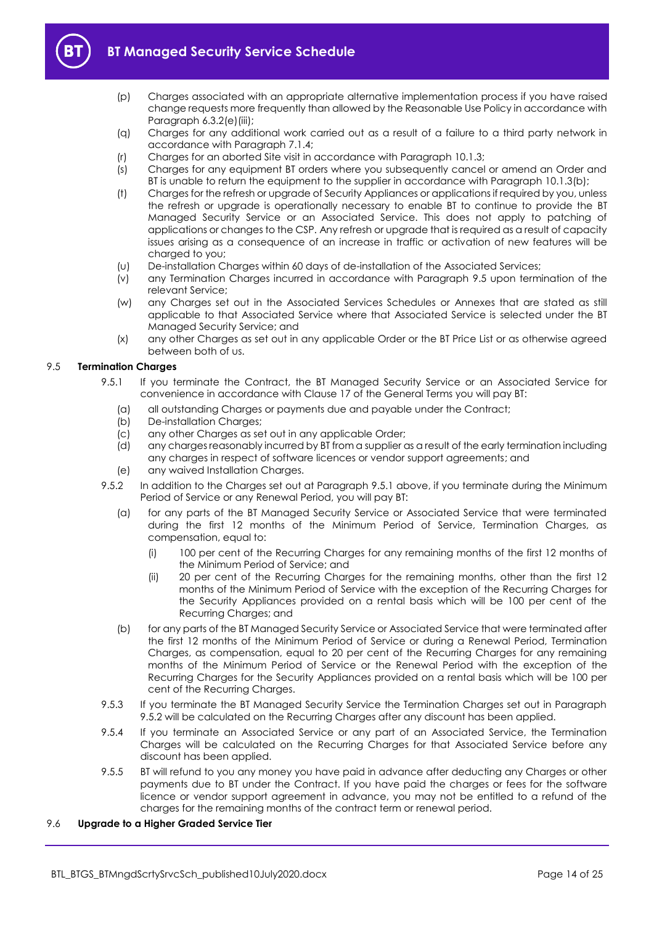



- (p) Charges associated with an appropriate alternative implementation process if you have raised change requests more frequently than allowed by the Reasonable Use Policy in accordance with Paragraph [6.3.2\(e\)\(iii\);](#page-9-6)
- (q) Charges for any additional work carried out as a result of a failure to a third party network in accordance with Paragrap[h 7.1.4;](#page-10-3)
- (r) Charges for an aborted Site visit in accordance with Paragraph [10.1.3;](#page-15-3)
- (s) Charges for any equipment BT orders where you subsequently cancel or amend an Order and BT is unable to return the equipment to the supplier in accordance with Paragraph [10.1.3\(b\);](#page-15-4)
- (t) Charges for the refresh or upgrade of Security Appliances or applications if required by you, unless the refresh or upgrade is operationally necessary to enable BT to continue to provide the BT Managed Security Service or an Associated Service. This does not apply to patching of applications or changes to the CSP. Any refresh or upgrade that is required as a result of capacity issues arising as a consequence of an increase in traffic or activation of new features will be charged to you;
- (u) De-installation Charges within 60 days of de-installation of the Associated Services;
- (v) any Termination Charges incurred in accordance with Paragraph [9.5](#page-13-0) upon termination of the relevant Service;
- (w) any Charges set out in the Associated Services Schedules or Annexes that are stated as still applicable to that Associated Service where that Associated Service is selected under the BT Managed Security Service; and
- (x) any other Charges as set out in any applicable Order or the BT Price List or as otherwise agreed between both of us.

#### <span id="page-13-1"></span><span id="page-13-0"></span>9.5 **Termination Charges**

- 9.5.1 If you terminate the Contract, the BT Managed Security Service or an Associated Service for convenience in accordance with Clause 17 of the General Terms you will pay BT:
	- (a) all outstanding Charges or payments due and payable under the Contract;
	- (b) De-installation Charges;
	- (c) any other Charges as set out in any applicable Order;
	- (d) any charges reasonably incurred by BT from a supplier as a result of the early termination including any charges in respect of software licences or vendor support agreements; and
	- (e) any waived Installation Charges.
- <span id="page-13-2"></span>9.5.2 In addition to the Charges set out at Paragraph [9.5.1](#page-13-1) above, if you terminate during the Minimum Period of Service or any Renewal Period, you will pay BT:
	- (a) for any parts of the BT Managed Security Service or Associated Service that were terminated during the first 12 months of the Minimum Period of Service, Termination Charges, as compensation, equal to:
		- (i) 100 per cent of the Recurring Charges for any remaining months of the first 12 months of the Minimum Period of Service; and
		- (ii) 20 per cent of the Recurring Charges for the remaining months, other than the first 12 months of the Minimum Period of Service with the exception of the Recurring Charges for the Security Appliances provided on a rental basis which will be 100 per cent of the Recurring Charges; and
	- (b) for any parts of the BT Managed Security Service or Associated Service that were terminated after the first 12 months of the Minimum Period of Service or during a Renewal Period, Termination Charges, as compensation, equal to 20 per cent of the Recurring Charges for any remaining months of the Minimum Period of Service or the Renewal Period with the exception of the Recurring Charges for the Security Appliances provided on a rental basis which will be 100 per cent of the Recurring Charges.
- 9.5.3 If you terminate the BT Managed Security Service the Termination Charges set out in Paragraph [9.5.2](#page-13-2) will be calculated on the Recurring Charges after any discount has been applied.
- 9.5.4 If you terminate an Associated Service or any part of an Associated Service, the Termination Charges will be calculated on the Recurring Charges for that Associated Service before any discount has been applied.
- 9.5.5 BT will refund to you any money you have paid in advance after deducting any Charges or other payments due to BT under the Contract. If you have paid the charges or fees for the software licence or vendor support agreement in advance, you may not be entitled to a refund of the charges for the remaining months of the contract term or renewal period.

#### 9.6 **Upgrade to a Higher Graded Service Tier**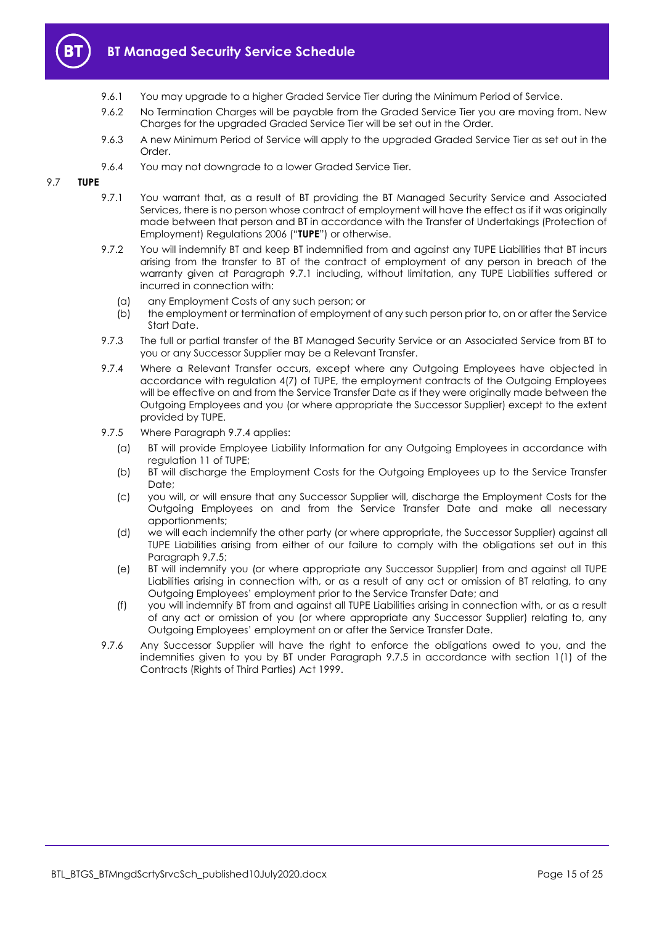

- 9.6.1 You may upgrade to a higher Graded Service Tier during the Minimum Period of Service.
- 9.6.2 No Termination Charges will be payable from the Graded Service Tier you are moving from. New Charges for the upgraded Graded Service Tier will be set out in the Order.
- 9.6.3 A new Minimum Period of Service will apply to the upgraded Graded Service Tier as set out in the Order.
- 9.6.4 You may not downgrade to a lower Graded Service Tier.

#### <span id="page-14-0"></span>9.7 **TUPE**

- 9.7.1 You warrant that, as a result of BT providing the BT Managed Security Service and Associated Services, there is no person whose contract of employment will have the effect as if it was originally made between that person and BT in accordance with the Transfer of Undertakings (Protection of Employment) Regulations 2006 ("**TUPE**") or otherwise.
- 9.7.2 You will indemnify BT and keep BT indemnified from and against any TUPE Liabilities that BT incurs arising from the transfer to BT of the contract of employment of any person in breach of the warranty given at Paragraph [9.7.1](#page-14-0) including, without limitation, any TUPE Liabilities suffered or incurred in connection with:
	- (a) any Employment Costs of any such person; or
	- (b) the employment or termination of employment of any such person prior to, on or after the Service Start Date.
- 9.7.3 The full or partial transfer of the BT Managed Security Service or an Associated Service from BT to you or any Successor Supplier may be a Relevant Transfer.
- <span id="page-14-1"></span>9.7.4 Where a Relevant Transfer occurs, except where any Outgoing Employees have objected in accordance with regulation 4(7) of TUPE, the employment contracts of the Outgoing Employees will be effective on and from the Service Transfer Date as if they were originally made between the Outgoing Employees and you (or where appropriate the Successor Supplier) except to the extent provided by TUPE.
- <span id="page-14-2"></span>9.7.5 Where Paragraph [9.7.4](#page-14-1) applies:
	- (a) BT will provide Employee Liability Information for any Outgoing Employees in accordance with regulation 11 of TUPE;
	- (b) BT will discharge the Employment Costs for the Outgoing Employees up to the Service Transfer Date:
	- (c) you will, or will ensure that any Successor Supplier will, discharge the Employment Costs for the Outgoing Employees on and from the Service Transfer Date and make all necessary apportionments;
	- (d) we will each indemnify the other party (or where appropriate, the Successor Supplier) against all TUPE Liabilities arising from either of our failure to comply with the obligations set out in this Paragraph [9.7.5;](#page-14-2)
	- (e) BT will indemnify you (or where appropriate any Successor Supplier) from and against all TUPE Liabilities arising in connection with, or as a result of any act or omission of BT relating, to any Outgoing Employees' employment prior to the Service Transfer Date; and
	- (f) you will indemnify BT from and against all TUPE Liabilities arising in connection with, or as a result of any act or omission of you (or where appropriate any Successor Supplier) relating to, any Outgoing Employees' employment on or after the Service Transfer Date.
- 9.7.6 Any Successor Supplier will have the right to enforce the obligations owed to you, and the indemnities given to you by BT under Paragraph [9.7.5](#page-14-2) in accordance with section 1(1) of the Contracts (Rights of Third Parties) Act 1999.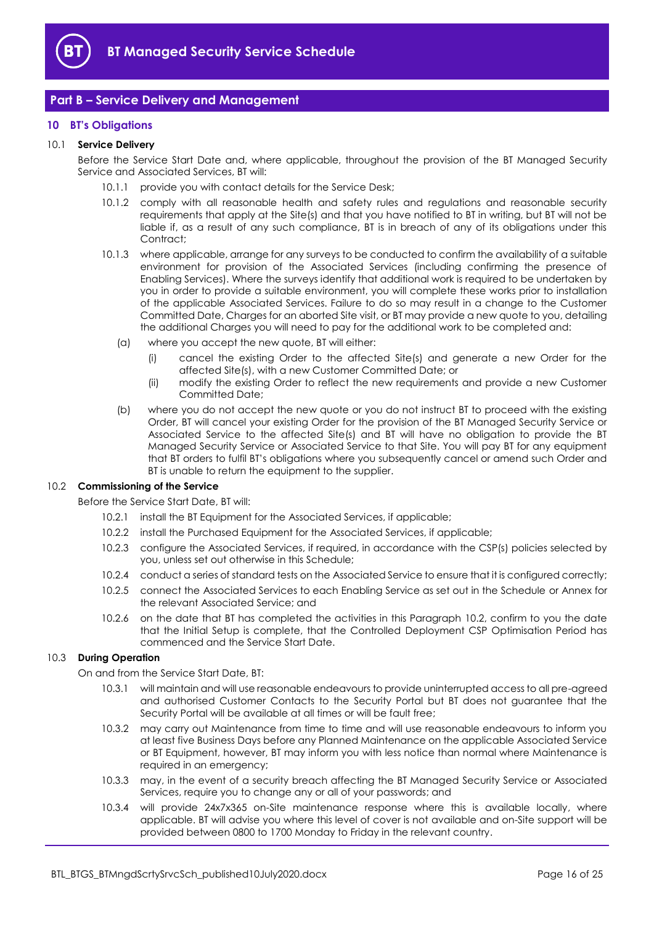

## <span id="page-15-0"></span>**Part B – Service Delivery and Management**

#### <span id="page-15-1"></span>**10 BT's Obligations**

#### 10.1 **Service Delivery**

Before the Service Start Date and, where applicable, throughout the provision of the BT Managed Security Service and Associated Services, BT will:

- 10.1.1 provide you with contact details for the Service Desk;
- 10.1.2 comply with all reasonable health and safety rules and regulations and reasonable security requirements that apply at the Site(s) and that you have notified to BT in writing, but BT will not be liable if, as a result of any such compliance, BT is in breach of any of its obligations under this Contract:
- <span id="page-15-3"></span>10.1.3 where applicable, arrange for any surveys to be conducted to confirm the availability of a suitable environment for provision of the Associated Services (including confirming the presence of Enabling Services). Where the surveys identify that additional work is required to be undertaken by you in order to provide a suitable environment, you will complete these works prior to installation of the applicable Associated Services. Failure to do so may result in a change to the Customer Committed Date, Charges for an aborted Site visit, or BT may provide a new quote to you, detailing the additional Charges you will need to pay for the additional work to be completed and:
	- (a) where you accept the new quote, BT will either:
		- (i) cancel the existing Order to the affected Site(s) and generate a new Order for the affected Site(s), with a new Customer Committed Date; or
		- (ii) modify the existing Order to reflect the new requirements and provide a new Customer Committed Date;
	- (b) where you do not accept the new quote or you do not instruct BT to proceed with the existing Order, BT will cancel your existing Order for the provision of the BT Managed Security Service or Associated Service to the affected Site(s) and BT will have no obligation to provide the BT Managed Security Service or Associated Service to that Site. You will pay BT for any equipment that BT orders to fulfil BT's obligations where you subsequently cancel or amend such Order and BT is unable to return the equipment to the supplier.

#### <span id="page-15-4"></span><span id="page-15-2"></span>10.2 **Commissioning of the Service**

Before the Service Start Date, BT will:

- 10.2.1 install the BT Equipment for the Associated Services, if applicable;
- 10.2.2 install the Purchased Equipment for the Associated Services, if applicable;
- 10.2.3 configure the Associated Services, if required, in accordance with the CSP(s) policies selected by you, unless set out otherwise in this Schedule;
- 10.2.4 conduct a series of standard tests on the Associated Service to ensure that it is configured correctly;
- 10.2.5 connect the Associated Services to each Enabling Service as set out in the Schedule or Annex for the relevant Associated Service; and
- 10.2.6 on the date that BT has completed the activities in this Paragraph [10.2,](#page-15-2) confirm to you the date that the Initial Setup is complete, that the Controlled Deployment CSP Optimisation Period has commenced and the Service Start Date.

## <span id="page-15-5"></span>10.3 **During Operation**

On and from the Service Start Date, BT:

- 10.3.1 will maintain and will use reasonable endeavours to provide uninterrupted access to all pre-agreed and authorised Customer Contacts to the Security Portal but BT does not guarantee that the Security Portal will be available at all times or will be fault free;
- 10.3.2 may carry out Maintenance from time to time and will use reasonable endeavours to inform you at least five Business Days before any Planned Maintenance on the applicable Associated Service or BT Equipment, however, BT may inform you with less notice than normal where Maintenance is required in an emergency;
- 10.3.3 may, in the event of a security breach affecting the BT Managed Security Service or Associated Services, require you to change any or all of your passwords; and
- 10.3.4 will provide 24x7x365 on-Site maintenance response where this is available locally, where applicable. BT will advise you where this level of cover is not available and on-Site support will be provided between 0800 to 1700 Monday to Friday in the relevant country.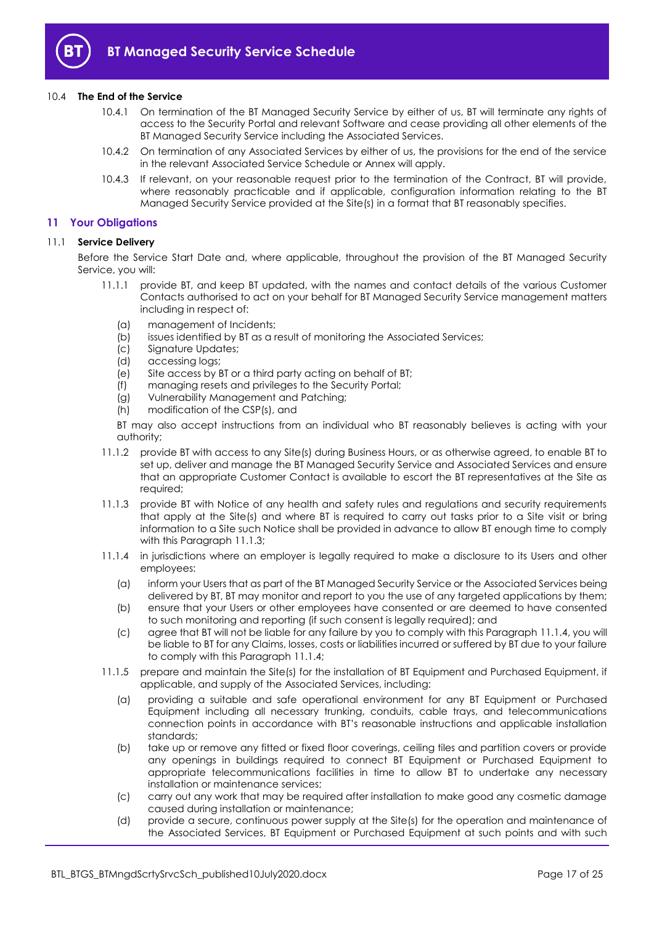

#### 10.4 **The End of the Service**

- 10.4.1 On termination of the BT Managed Security Service by either of us, BT will terminate any rights of access to the Security Portal and relevant Software and cease providing all other elements of the BT Managed Security Service including the Associated Services.
- 10.4.2 On termination of any Associated Services by either of us, the provisions for the end of the service in the relevant Associated Service Schedule or Annex will apply.
- 10.4.3 If relevant, on your reasonable request prior to the termination of the Contract, BT will provide, where reasonably practicable and if applicable, configuration information relating to the BT Managed Security Service provided at the Site(s) in a format that BT reasonably specifies.

#### <span id="page-16-0"></span>**11 Your Obligations**

#### 11.1 **Service Delivery**

Before the Service Start Date and, where applicable, throughout the provision of the BT Managed Security Service, you will:

- 11.1.1 provide BT, and keep BT updated, with the names and contact details of the various Customer Contacts authorised to act on your behalf for BT Managed Security Service management matters including in respect of:
	- (a) management of Incidents;
	- (b) issues identified by BT as a result of monitoring the Associated Services;
	- (c) Signature Updates;
	- (d) accessing logs;
	- (e) Site access by BT or a third party acting on behalf of BT;
	- (f) managing resets and privileges to the Security Portal;
	- (g) Vulnerability Management and Patching;
	- (h) modification of the CSP(s), and

BT may also accept instructions from an individual who BT reasonably believes is acting with your authority;

- 11.1.2 provide BT with access to any Site(s) during Business Hours, or as otherwise agreed, to enable BT to set up, deliver and manage the BT Managed Security Service and Associated Services and ensure that an appropriate Customer Contact is available to escort the BT representatives at the Site as required;
- <span id="page-16-1"></span>11.1.3 provide BT with Notice of any health and safety rules and regulations and security requirements that apply at the Site(s) and where BT is required to carry out tasks prior to a Site visit or bring information to a Site such Notice shall be provided in advance to allow BT enough time to comply with this Paragraph [11.1.3;](#page-16-1)
- <span id="page-16-2"></span>11.1.4 in jurisdictions where an employer is legally required to make a disclosure to its Users and other employees:
	- (a) inform your Users that as part of the BT Managed Security Service or the Associated Services being delivered by BT, BT may monitor and report to you the use of any targeted applications by them;
	- (b) ensure that your Users or other employees have consented or are deemed to have consented to such monitoring and reporting (if such consent is legally required); and
	- (c) agree that BT will not be liable for any failure by you to comply with this Paragrap[h 11.1.4,](#page-16-2) you will be liable to BT for any Claims, losses, costs or liabilities incurred or suffered by BT due to your failure to comply with this Paragrap[h 11.1.4;](#page-16-2)
- 11.1.5 prepare and maintain the Site(s) for the installation of BT Equipment and Purchased Equipment, if applicable, and supply of the Associated Services, including:
	- (a) providing a suitable and safe operational environment for any BT Equipment or Purchased Equipment including all necessary trunking, conduits, cable trays, and telecommunications connection points in accordance with BT's reasonable instructions and applicable installation standards;
	- (b) take up or remove any fitted or fixed floor coverings, ceiling tiles and partition covers or provide any openings in buildings required to connect BT Equipment or Purchased Equipment to appropriate telecommunications facilities in time to allow BT to undertake any necessary installation or maintenance services;
	- (c) carry out any work that may be required after installation to make good any cosmetic damage caused during installation or maintenance;
	- (d) provide a secure, continuous power supply at the Site(s) for the operation and maintenance of the Associated Services, BT Equipment or Purchased Equipment at such points and with such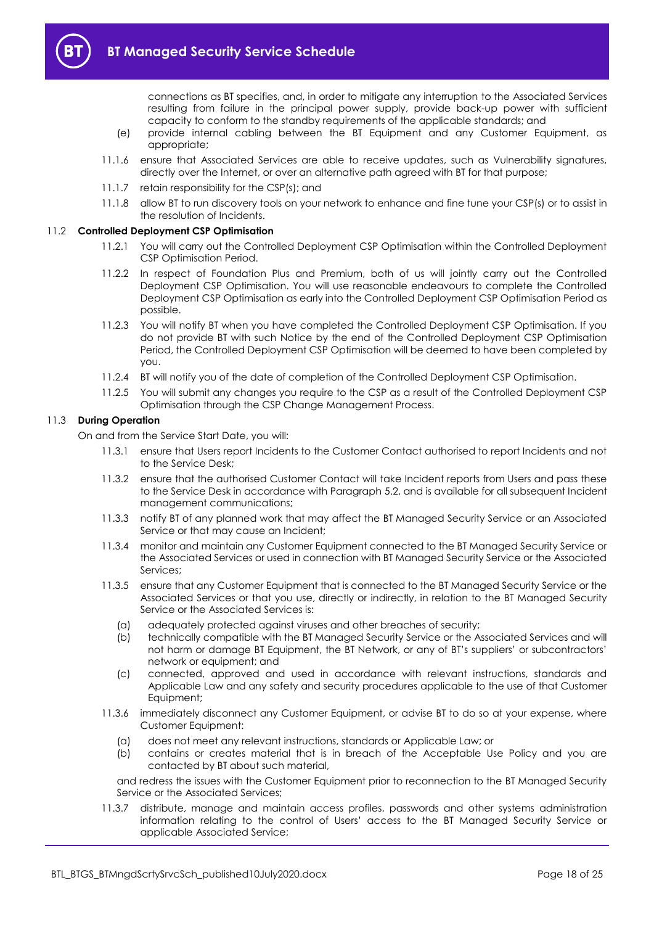connections as BT specifies, and, in order to mitigate any interruption to the Associated Services resulting from failure in the principal power supply, provide back-up power with sufficient capacity to conform to the standby requirements of the applicable standards; and

- (e) provide internal cabling between the BT Equipment and any Customer Equipment, as appropriate;
- 11.1.6 ensure that Associated Services are able to receive updates, such as Vulnerability signatures, directly over the Internet, or over an alternative path agreed with BT for that purpose;
- 11.1.7 retain responsibility for the CSP(s); and
- 11.1.8 allow BT to run discovery tools on your network to enhance and fine tune your CSP(s) or to assist in the resolution of Incidents.

#### <span id="page-17-0"></span>11.2 **Controlled Deployment CSP Optimisation**

- 11.2.1 You will carry out the Controlled Deployment CSP Optimisation within the Controlled Deployment CSP Optimisation Period.
- 11.2.2 In respect of Foundation Plus and Premium, both of us will jointly carry out the Controlled Deployment CSP Optimisation. You will use reasonable endeavours to complete the Controlled Deployment CSP Optimisation as early into the Controlled Deployment CSP Optimisation Period as possible.
- 11.2.3 You will notify BT when you have completed the Controlled Deployment CSP Optimisation. If you do not provide BT with such Notice by the end of the Controlled Deployment CSP Optimisation Period, the Controlled Deployment CSP Optimisation will be deemed to have been completed by you.
- 11.2.4 BT will notify you of the date of completion of the Controlled Deployment CSP Optimisation.
- 11.2.5 You will submit any changes you require to the CSP as a result of the Controlled Deployment CSP Optimisation through the CSP Change Management Process.

#### 11.3 **During Operation**

On and from the Service Start Date, you will:

- 11.3.1 ensure that Users report Incidents to the Customer Contact authorised to report Incidents and not to the Service Desk;
- 11.3.2 ensure that the authorised Customer Contact will take Incident reports from Users and pass these to the Service Desk in accordance with Paragraph [5.2,](#page-4-2) and is available for all subsequent Incident management communications;
- 11.3.3 notify BT of any planned work that may affect the BT Managed Security Service or an Associated Service or that may cause an Incident;
- 11.3.4 monitor and maintain any Customer Equipment connected to the BT Managed Security Service or the Associated Services or used in connection with BT Managed Security Service or the Associated Services;
- 11.3.5 ensure that any Customer Equipment that is connected to the BT Managed Security Service or the Associated Services or that you use, directly or indirectly, in relation to the BT Managed Security Service or the Associated Services is:
	- (a) adequately protected against viruses and other breaches of security;
	- (b) technically compatible with the BT Managed Security Service or the Associated Services and will not harm or damage BT Equipment, the BT Network, or any of BT's suppliers' or subcontractors' network or equipment; and
	- (c) connected, approved and used in accordance with relevant instructions, standards and Applicable Law and any safety and security procedures applicable to the use of that Customer Equipment;
- 11.3.6 immediately disconnect any Customer Equipment, or advise BT to do so at your expense, where Customer Equipment:
	- (a) does not meet any relevant instructions, standards or Applicable Law; or
	- (b) contains or creates material that is in breach of the Acceptable Use Policy and you are contacted by BT about such material,

and redress the issues with the Customer Equipment prior to reconnection to the BT Managed Security Service or the Associated Services;

11.3.7 distribute, manage and maintain access profiles, passwords and other systems administration information relating to the control of Users' access to the BT Managed Security Service or applicable Associated Service;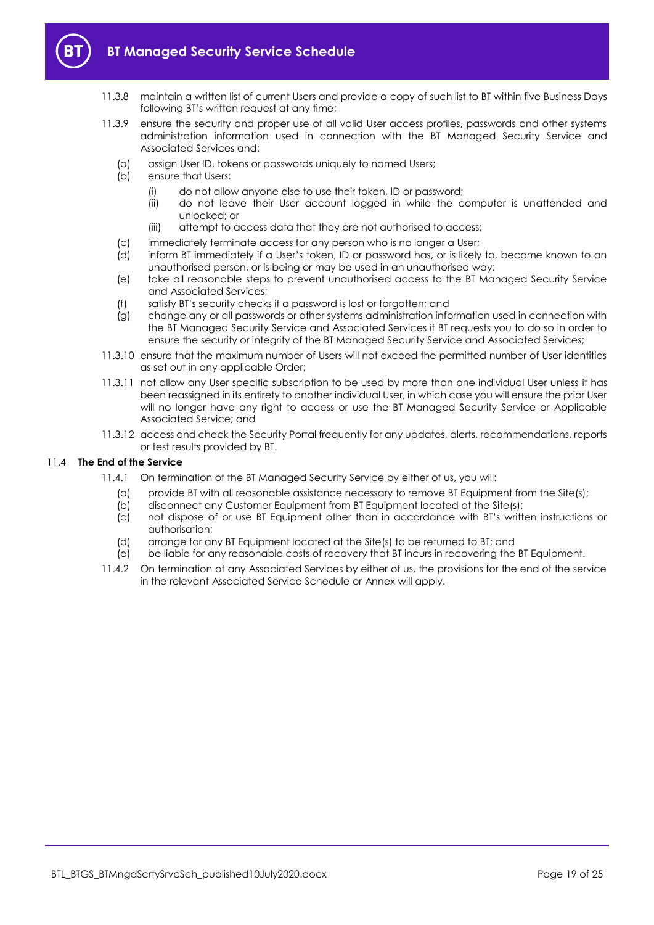

- 11.3.8 maintain a written list of current Users and provide a copy of such list to BT within five Business Days following BT's written request at any time;
- 11.3.9 ensure the security and proper use of all valid User access profiles, passwords and other systems administration information used in connection with the BT Managed Security Service and Associated Services and:
	- (a) assign User ID, tokens or passwords uniquely to named Users;
	- (b) ensure that Users:
		- (i) do not allow anyone else to use their token, ID or password;
		- (ii) do not leave their User account logged in while the computer is unattended and unlocked; or
		- (iii) attempt to access data that they are not authorised to access;
	- (c) immediately terminate access for any person who is no longer a User;
	- (d) inform BT immediately if a User's token, ID or password has, or is likely to, become known to an unauthorised person, or is being or may be used in an unauthorised way;
	- (e) take all reasonable steps to prevent unauthorised access to the BT Managed Security Service and Associated Services;
	- (f) satisfy BT's security checks if a password is lost or forgotten; and
	- (g) change any or all passwords or other systems administration information used in connection with the BT Managed Security Service and Associated Services if BT requests you to do so in order to ensure the security or integrity of the BT Managed Security Service and Associated Services;
- 11.3.10 ensure that the maximum number of Users will not exceed the permitted number of User identities as set out in any applicable Order;
- 11.3.11 not allow any User specific subscription to be used by more than one individual User unless it has been reassigned in its entirety to another individual User, in which case you will ensure the prior User will no longer have any right to access or use the BT Managed Security Service or Applicable Associated Service; and
- 11.3.12 access and check the Security Portal frequently for any updates, alerts, recommendations, reports or test results provided by BT.

#### 11.4 **The End of the Service**

- 11.4.1 On termination of the BT Managed Security Service by either of us, you will:
	- (a) provide BT with all reasonable assistance necessary to remove BT Equipment from the Site(s);
	- (b) disconnect any Customer Equipment from BT Equipment located at the Site(s);
	- (c) not dispose of or use BT Equipment other than in accordance with BT's written instructions or authorisation;
	- (d) arrange for any BT Equipment located at the Site(s) to be returned to BT; and
	- (e) be liable for any reasonable costs of recovery that BT incurs in recovering the BT Equipment.
- 11.4.2 On termination of any Associated Services by either of us, the provisions for the end of the service in the relevant Associated Service Schedule or Annex will apply.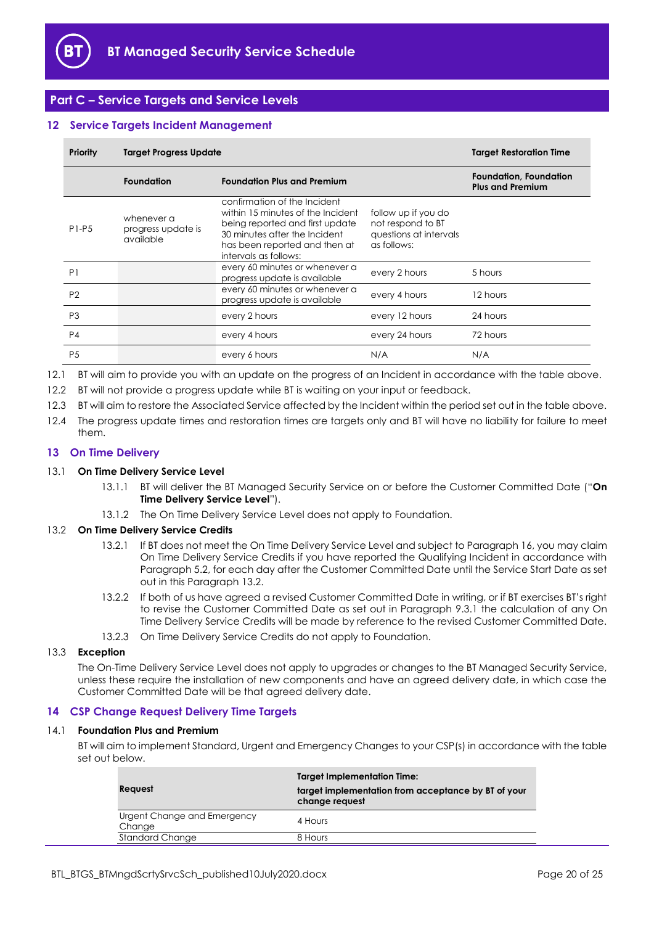

## <span id="page-19-0"></span>**Part C – Service Targets and Service Levels**

#### <span id="page-19-1"></span>**12 Service Targets Incident Management**

| Priority       | <b>Target Progress Update</b>                 |                                                                                                                                                                                                 | <b>Target Restoration Time</b>                                                    |                                                          |
|----------------|-----------------------------------------------|-------------------------------------------------------------------------------------------------------------------------------------------------------------------------------------------------|-----------------------------------------------------------------------------------|----------------------------------------------------------|
|                | <b>Foundation</b>                             | <b>Foundation Plus and Premium</b>                                                                                                                                                              |                                                                                   | <b>Foundation, Foundation</b><br><b>Plus and Premium</b> |
| $P1-P5$        | whenever a<br>progress update is<br>available | confirmation of the Incident<br>within 15 minutes of the Incident<br>being reported and first update<br>30 minutes after the Incident<br>has been reported and then at<br>intervals as follows: | follow up if you do<br>not respond to BT<br>questions at intervals<br>as follows: |                                                          |
| P <sub>1</sub> |                                               | every 60 minutes or whenever a<br>progress update is available                                                                                                                                  | every 2 hours                                                                     | 5 hours                                                  |
| P <sub>2</sub> |                                               | every 60 minutes or whenever a<br>progress update is available                                                                                                                                  | every 4 hours                                                                     | 12 hours                                                 |
| P <sub>3</sub> |                                               | every 2 hours                                                                                                                                                                                   | every 12 hours                                                                    | 24 hours                                                 |
| P <sub>4</sub> |                                               | every 4 hours                                                                                                                                                                                   | every 24 hours                                                                    | 72 hours                                                 |
| P <sub>5</sub> |                                               | every 6 hours                                                                                                                                                                                   | N/A                                                                               | N/A                                                      |

12.1 BT will aim to provide you with an update on the progress of an Incident in accordance with the table above.

12.2 BT will not provide a progress update while BT is waiting on your input or feedback.

12.3 BT will aim to restore the Associated Service affected by the Incident within the period set out in the table above.

12.4 The progress update times and restoration times are targets only and BT will have no liability for failure to meet them.

#### <span id="page-19-2"></span>**13 On Time Delivery**

#### <span id="page-19-5"></span>13.1 **On Time Delivery Service Level**

- 13.1.1 BT will deliver the BT Managed Security Service on or before the Customer Committed Date ("**On Time Delivery Service Level**").
- 13.1.2 The On Time Delivery Service Level does not apply to Foundation.

#### <span id="page-19-4"></span>13.2 **On Time Delivery Service Credits**

- 13.2.1 If BT does not meet the On Time Delivery Service Level and subject to Paragrap[h 16,](#page-20-1) you may claim On Time Delivery Service Credits if you have reported the Qualifying Incident in accordance with Paragrap[h 5.2,](#page-4-2) for each day after the Customer Committed Date until the Service Start Date as set out in this Paragraph [13.2.](#page-19-4)
- 13.2.2 If both of us have agreed a revised Customer Committed Date in writing, or if BT exercises BT's right to revise the Customer Committed Date as set out in Paragraph [9.3.1](#page-11-5) the calculation of any On Time Delivery Service Credits will be made by reference to the revised Customer Committed Date.
- 13.2.3 On Time Delivery Service Credits do not apply to Foundation.

## 13.3 **Exception**

The On-Time Delivery Service Level does not apply to upgrades or changes to the BT Managed Security Service, unless these require the installation of new components and have an agreed delivery date, in which case the Customer Committed Date will be that agreed delivery date.

#### <span id="page-19-3"></span>**14 CSP Change Request Delivery Time Targets**

#### <span id="page-19-6"></span>14.1 **Foundation Plus and Premium**

BT will aim to implement Standard, Urgent and Emergency Changes to your CSP(s) in accordance with the table set out below.

| Request                               | <b>Target Implementation Time:</b><br>target implementation from acceptance by BT of your<br>change request |
|---------------------------------------|-------------------------------------------------------------------------------------------------------------|
| Urgent Change and Emergency<br>Change | 4 Hours                                                                                                     |
| Standard Change                       | 8 Hours                                                                                                     |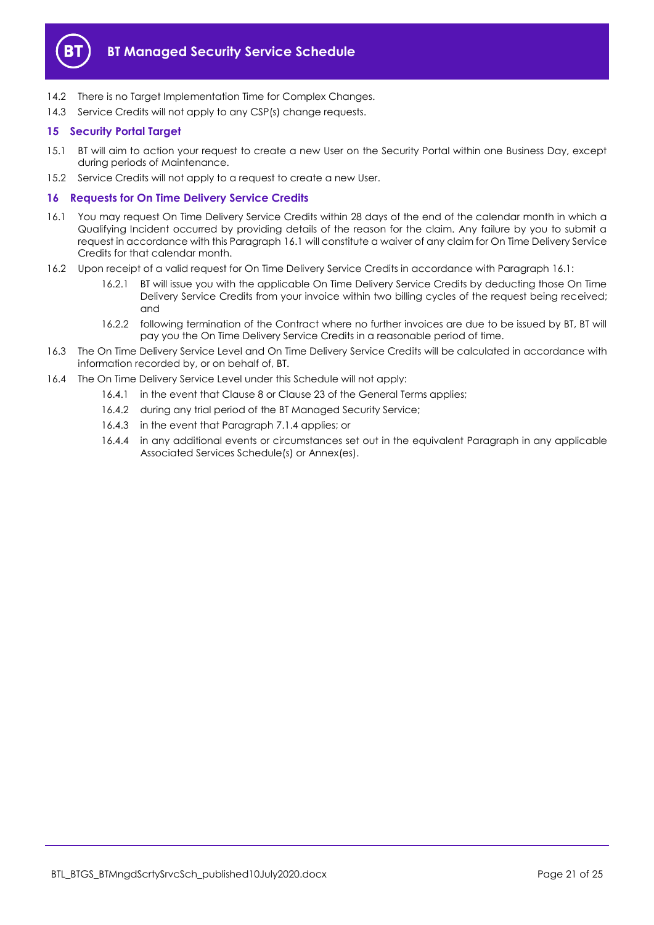

- 14.2 There is no Target Implementation Time for Complex Changes.
- 14.3 Service Credits will not apply to any CSP(s) change requests.

## <span id="page-20-0"></span>**15 Security Portal Target**

- 15.1 BT will aim to action your request to create a new User on the Security Portal within one Business Day, except during periods of Maintenance.
- 15.2 Service Credits will not apply to a request to create a new User.

## <span id="page-20-1"></span>**16 Requests for On Time Delivery Service Credits**

- <span id="page-20-2"></span>16.1 You may request On Time Delivery Service Credits within 28 days of the end of the calendar month in which a Qualifying Incident occurred by providing details of the reason for the claim. Any failure by you to submit a request in accordance with this Paragraph [16.1](#page-20-2) will constitute a waiver of any claim for On Time Delivery Service Credits for that calendar month.
- 16.2 Upon receipt of a valid request for On Time Delivery Service Credits in accordance with Paragrap[h 16.1:](#page-20-2)
	- 16.2.1 BT will issue you with the applicable On Time Delivery Service Credits by deducting those On Time Delivery Service Credits from your invoice within two billing cycles of the request being received; and
	- 16.2.2 following termination of the Contract where no further invoices are due to be issued by BT, BT will pay you the On Time Delivery Service Credits in a reasonable period of time.
- 16.3 The On Time Delivery Service Level and On Time Delivery Service Credits will be calculated in accordance with information recorded by, or on behalf of, BT.
- 16.4 The On Time Delivery Service Level under this Schedule will not apply:
	- 16.4.1 in the event that Clause 8 or Clause 23 of the General Terms applies;
	- 16.4.2 during any trial period of the BT Managed Security Service;
	- 16.4.3 in the event that Paragrap[h 7.1.4](#page-10-3) applies; or
	- 16.4.4 in any additional events or circumstances set out in the equivalent Paragraph in any applicable Associated Services Schedule(s) or Annex(es).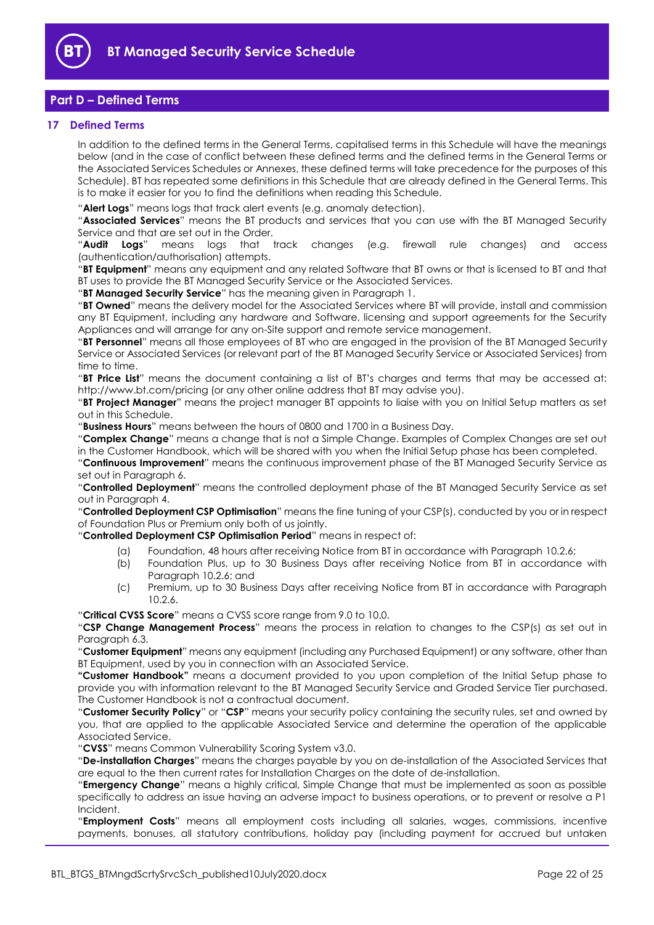

## <span id="page-21-0"></span>**Part D – Defined Terms**

#### <span id="page-21-1"></span>**17 Defined Terms**

In addition to the defined terms in the General Terms, capitalised terms in this Schedule will have the meanings below (and in the case of conflict between these defined terms and the defined terms in the General Terms or the Associated Services Schedules or Annexes, these defined terms will take precedence for the purposes of this Schedule). BT has repeated some definitions in this Schedule that are already defined in the General Terms. This is to make it easier for you to find the definitions when reading this Schedule.

"**Alert Logs**" means logs that track alert events (e.g. anomaly detection).

"**Associated Services**" means the BT products and services that you can use with the BT Managed Security Service and that are set out in the Order.

"**Audit Logs**" means logs that track changes (e.g. firewall rule changes) and access (authentication/authorisation) attempts.

"**BT Equipment**" means any equipment and any related Software that BT owns or that is licensed to BT and that BT uses to provide the BT Managed Security Service or the Associated Services.

"**BT Managed Security Service**" has the meaning given in Paragrap[h 1.](#page-1-3)

"**BT Owned**" means the delivery model for the Associated Services where BT will provide, install and commission any BT Equipment, including any hardware and Software, licensing and support agreements for the Security Appliances and will arrange for any on-Site support and remote service management.

"**BT Personnel**" means all those employees of BT who are engaged in the provision of the BT Managed Security Service or Associated Services (or relevant part of the BT Managed Security Service or Associated Services) from time to time.

"**BT Price List**" means the document containing a list of BT's charges and terms that may be accessed at: http://www.bt.com/pricing (or any other online address that BT may advise you).

"**BT Project Manager**" means the project manager BT appoints to liaise with you on Initial Setup matters as set out in this Schedule.

"**Business Hours**" means between the hours of 0800 and 1700 in a Business Day.

"**Complex Change**" means a change that is not a Simple Change. Examples of Complex Changes are set out in the Customer Handbook, which will be shared with you when the Initial Setup phase has been completed.

"**Continuous Improvement**" means the continuous improvement phase of the BT Managed Security Service as set out in Paragraph [6.](#page-7-0)

"**Controlled Deployment**" means the controlled deployment phase of the BT Managed Security Service as set out in Paragraph [4.](#page-3-0)

"**Controlled Deployment CSP Optimisation**" means the fine tuning of your CSP(s), conducted by you or in respect of Foundation Plus or Premium only both of us jointly.

"**Controlled Deployment CSP Optimisation Period**" means in respect of:

- (a) Foundation, 48 hours after receiving Notice from BT in accordance with Paragraph [10.2.6;](#page-15-5)
- (b) Foundation Plus, up to 30 Business Days after receiving Notice from BT in accordance with Paragraph [10.2.6;](#page-15-5) and
- (c) Premium, up to 30 Business Days after receiving Notice from BT in accordance with Paragraph [10.2.6.](#page-15-5)

"**Critical CVSS Score**" means a CVSS score range from 9.0 to 10.0.

"**CSP Change Management Process**" means the process in relation to changes to the CSP(s) as set out in Paragraph [6.3.](#page-9-0)

"**Customer Equipment**" means any equipment (including any Purchased Equipment) or any software, other than BT Equipment, used by you in connection with an Associated Service.

**"Customer Handbook"** means a document provided to you upon completion of the Initial Setup phase to provide you with information relevant to the BT Managed Security Service and Graded Service Tier purchased. The Customer Handbook is not a contractual document.

"**Customer Security Policy**" or "**CSP**" means your security policy containing the security rules, set and owned by you, that are applied to the applicable Associated Service and determine the operation of the applicable Associated Service.

"**CVSS**" means Common Vulnerability Scoring System v3.0.

"**De-installation Charges**" means the charges payable by you on de-installation of the Associated Services that are equal to the then current rates for Installation Charges on the date of de-installation.

"**Emergency Change**" means a highly critical, Simple Change that must be implemented as soon as possible specifically to address an issue having an adverse impact to business operations, or to prevent or resolve a P1 Incident.

"**Employment Costs**" means all employment costs including all salaries, wages, commissions, incentive payments, bonuses, all statutory contributions, holiday pay (including payment for accrued but untaken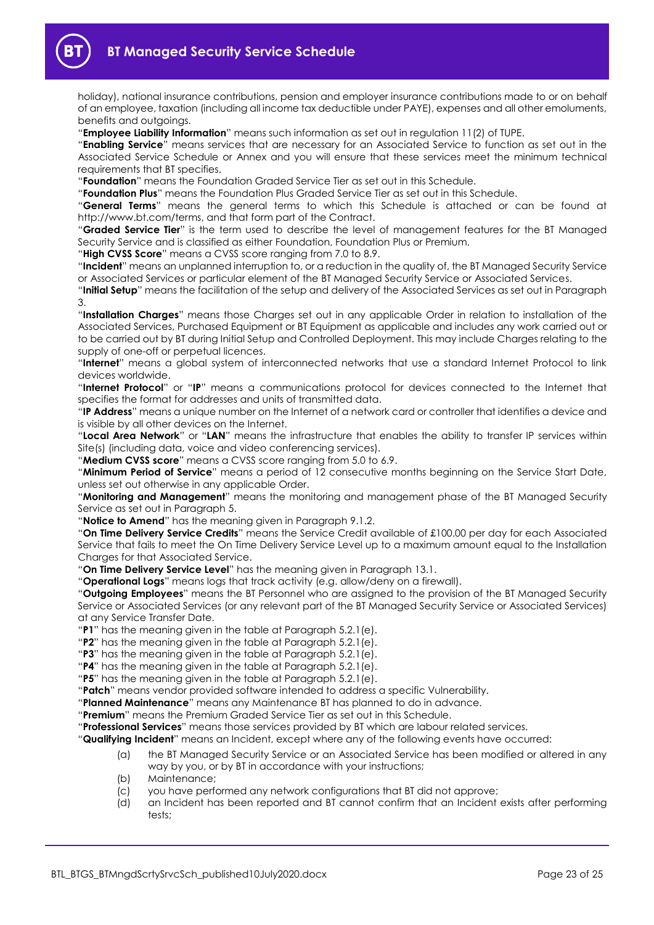

holiday), national insurance contributions, pension and employer insurance contributions made to or on behalf of an employee, taxation (including all income tax deductible under PAYE), expenses and all other emoluments, benefits and outgoings.

"**Employee Liability Information**" means such information as set out in regulation 11(2) of TUPE.

"**Enabling Service**" means services that are necessary for an Associated Service to function as set out in the Associated Service Schedule or Annex and you will ensure that these services meet the minimum technical requirements that BT specifies.

"**Foundation**" means the Foundation Graded Service Tier as set out in this Schedule.

"**Foundation Plus**" means the Foundation Plus Graded Service Tier as set out in this Schedule.

"**General Terms**" means the general terms to which this Schedule is attached or can be found at http://www.bt.com/terms, and that form part of the Contract.

"**Graded Service Tier**" is the term used to describe the level of management features for the BT Managed Security Service and is classified as either Foundation, Foundation Plus or Premium.

"**High CVSS Score**" means a CVSS score ranging from 7.0 to 8.9.

"**Incident**" means an unplanned interruption to, or a reduction in the quality of, the BT Managed Security Service or Associated Services or particular element of the BT Managed Security Service or Associated Services.

"**Initial Setup**" means the facilitation of the setup and delivery of the Associated Services as set out in Paragraph [3.](#page-2-0)

"**Installation Charges**" means those Charges set out in any applicable Order in relation to installation of the Associated Services, Purchased Equipment or BT Equipment as applicable and includes any work carried out or to be carried out by BT during Initial Setup and Controlled Deployment. This may include Charges relating to the supply of one-off or perpetual licences.

"**Internet**" means a global system of interconnected networks that use a standard Internet Protocol to link devices worldwide.

"**Internet Protocol**" or "**IP**" means a communications protocol for devices connected to the Internet that specifies the format for addresses and units of transmitted data.

"**IP Address**" means a unique number on the Internet of a network card or controller that identifies a device and is visible by all other devices on the Internet.

"**Local Area Network**" or "**LAN**" means the infrastructure that enables the ability to transfer IP services within Site(s) (including data, voice and video conferencing services).

"**Medium CVSS score**" means a CVSS score ranging from 5.0 to 6.9.

"**Minimum Period of Service**" means a period of 12 consecutive months beginning on the Service Start Date, unless set out otherwise in any applicable Order.

"**Monitoring and Management**" means the monitoring and management phase of the BT Managed Security Service as set out in Paragraph [5.](#page-3-1)

"**Notice to Amend**" has the meaning given in Paragraph [9.1.2.](#page-11-3)

"**On Time Delivery Service Credits**" means the Service Credit available of £100.00 per day for each Associated Service that fails to meet the On Time Delivery Service Level up to a maximum amount equal to the Installation Charges for that Associated Service.

"**On Time Delivery Service Level**" has the meaning given in Paragrap[h 13.1.](#page-19-5)

"**Operational Logs**" means logs that track activity (e.g. allow/deny on a firewall).

"**Outgoing Employees**" means the BT Personnel who are assigned to the provision of the BT Managed Security Service or Associated Services (or any relevant part of the BT Managed Security Service or Associated Services) at any Service Transfer Date.

"**P1**" has the meaning given in the table at Paragrap[h 5.2.1\(e\).](#page-4-3)

"**P2**" has the meaning given in the table at Paragraph [5.2.1\(e\).](#page-4-3)

"**P3**" has the meaning given in the table at Paragraph [5.2.1\(e\).](#page-4-3)

"**P4**" has the meaning given in the table at Paragraph [5.2.1\(e\).](#page-4-3)

"**P5**" has the meaning given in the table at Paragraph [5.2.1\(e\).](#page-4-3)

"**Patch**" means vendor provided software intended to address a specific Vulnerability.

"**Planned Maintenance**" means any Maintenance BT has planned to do in advance.

"**Premium**" means the Premium Graded Service Tier as set out in this Schedule.

"**Professional Services**" means those services provided by BT which are labour related services.

"**Qualifying Incident**" means an Incident, except where any of the following events have occurred:

- (a) the BT Managed Security Service or an Associated Service has been modified or altered in any way by you, or by BT in accordance with your instructions;
- (b) Maintenance;
- (c) you have performed any network configurations that BT did not approve;
- (d) an Incident has been reported and BT cannot confirm that an Incident exists after performing tests;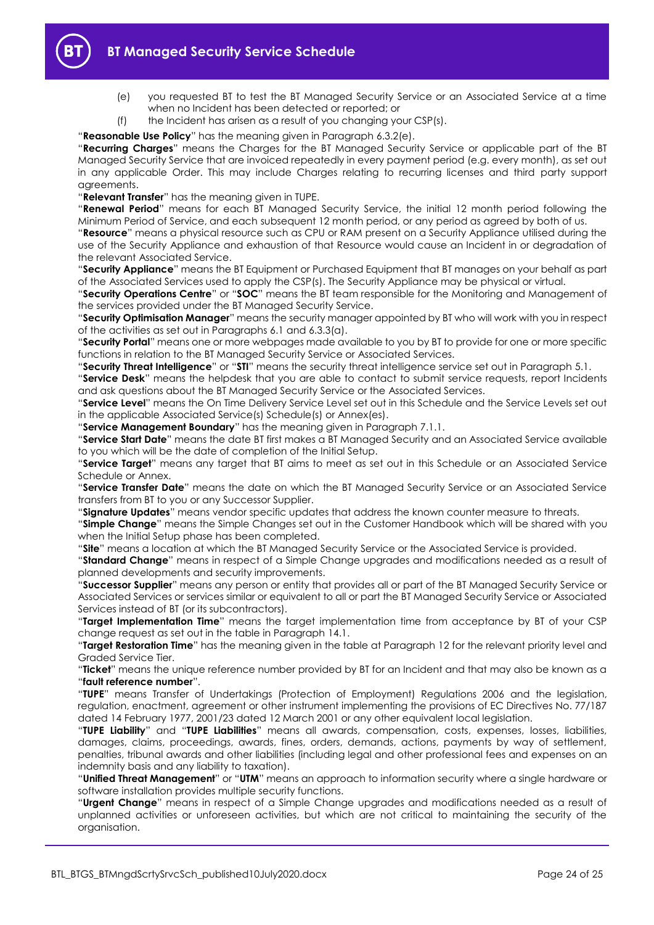- 
- (e) you requested BT to test the BT Managed Security Service or an Associated Service at a time when no Incident has been detected or reported; or
- (f) the Incident has arisen as a result of you changing your CSP(s).

"**Reasonable Use Policy**" has the meaning given in Paragraph [6.3.2\(e\).](#page-9-1)

"**Recurring Charges**" means the Charges for the BT Managed Security Service or applicable part of the BT Managed Security Service that are invoiced repeatedly in every payment period (e.g. every month), as set out in any applicable Order. This may include Charges relating to recurring licenses and third party support agreements.

"**Relevant Transfer**" has the meaning given in TUPE.

"**Renewal Period**" means for each BT Managed Security Service, the initial 12 month period following the Minimum Period of Service, and each subsequent 12 month period, or any period as agreed by both of us.

"**Resource**" means a physical resource such as CPU or RAM present on a Security Appliance utilised during the use of the Security Appliance and exhaustion of that Resource would cause an Incident in or degradation of the relevant Associated Service.

"**Security Appliance**" means the BT Equipment or Purchased Equipment that BT manages on your behalf as part of the Associated Services used to apply the CSP(s). The Security Appliance may be physical or virtual.

"**Security Operations Centre**" or "**SOC**" means the BT team responsible for the Monitoring and Management of the services provided under the BT Managed Security Service.

"**Security Optimisation Manager**" means the security manager appointed by BT who will work with you in respect of the activities as set out in Paragraphs [6.1](#page-7-4) and [6.3.3\(a\).](#page-10-4)

"**Security Portal**" means one or more webpages made available to you by BT to provide for one or more specific functions in relation to the BT Managed Security Service or Associated Services.

"**Security Threat Intelligence**" or "**STI**" means the security threat intelligence service set out in Paragraph [5.1.](#page-3-4)

"**Service Desk**" means the helpdesk that you are able to contact to submit service requests, report Incidents and ask questions about the BT Managed Security Service or the Associated Services.

"**Service Level**" means the On Time Delivery Service Level set out in this Schedule and the Service Levels set out in the applicable Associated Service(s) Schedule(s) or Annex(es).

"**Service Management Boundary**" has the meaning given in Paragrap[h 7.1.1.](#page-10-5)

"**Service Start Date**" means the date BT first makes a BT Managed Security and an Associated Service available to you which will be the date of completion of the Initial Setup.

"**Service Target**" means any target that BT aims to meet as set out in this Schedule or an Associated Service Schedule or Annex.

"**Service Transfer Date**" means the date on which the BT Managed Security Service or an Associated Service transfers from BT to you or any Successor Supplier.

"**Signature Updates**" means vendor specific updates that address the known counter measure to threats.

"**Simple Change**" means the Simple Changes set out in the Customer Handbook which will be shared with you when the Initial Setup phase has been completed.

"**Site**" means a location at which the BT Managed Security Service or the Associated Service is provided.

"**Standard Change**" means in respect of a Simple Change upgrades and modifications needed as a result of planned developments and security improvements.

"**Successor Supplier**" means any person or entity that provides all or part of the BT Managed Security Service or Associated Services or services similar or equivalent to all or part the BT Managed Security Service or Associated Services instead of BT (or its subcontractors).

"**Target Implementation Time**" means the target implementation time from acceptance by BT of your CSP change request as set out in the table in Paragraph [14.1.](#page-19-6)

"**Target Restoration Time**" has the meaning given in the table at Paragraph [12](#page-19-1) for the relevant priority level and Graded Service Tier.

"**Ticket**" means the unique reference number provided by BT for an Incident and that may also be known as a "**fault reference number**".

"**TUPE**" means Transfer of Undertakings (Protection of Employment) Regulations 2006 and the legislation, regulation, enactment, agreement or other instrument implementing the provisions of EC Directives No. 77/187 dated 14 February 1977, 2001/23 dated 12 March 2001 or any other equivalent local legislation.

"**TUPE Liability**" and "**TUPE Liabilities**" means all awards, compensation, costs, expenses, losses, liabilities, damages, claims, proceedings, awards, fines, orders, demands, actions, payments by way of settlement, penalties, tribunal awards and other liabilities (including legal and other professional fees and expenses on an indemnity basis and any liability to taxation).

"**Unified Threat Management**" or "**UTM**" means an approach to information security where a single hardware or software installation provides multiple security functions.

"**Urgent Change**" means in respect of a Simple Change upgrades and modifications needed as a result of unplanned activities or unforeseen activities, but which are not critical to maintaining the security of the organisation.